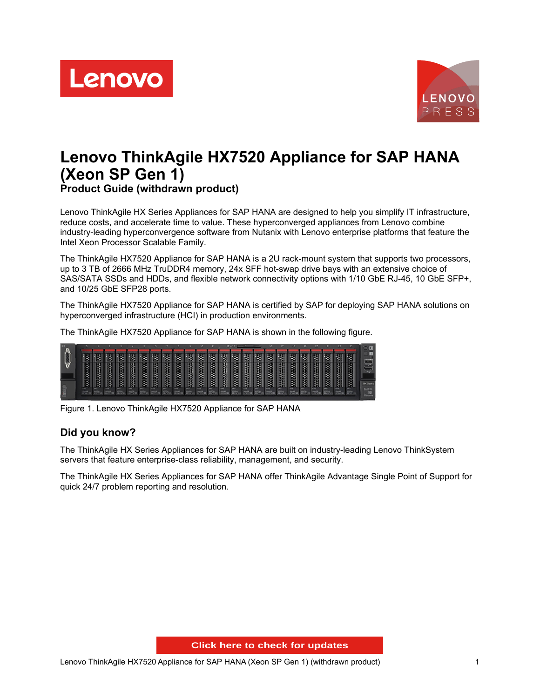



# **Lenovo ThinkAgile HX7520 Appliance for SAP HANA (Xeon SP Gen 1)**

**Product Guide (withdrawn product)**

Lenovo ThinkAgile HX Series Appliances for SAP HANA are designed to help you simplify IT infrastructure, reduce costs, and accelerate time to value. These hyperconverged appliances from Lenovo combine industry-leading hyperconvergence software from Nutanix with Lenovo enterprise platforms that feature the Intel Xeon Processor Scalable Family.

The ThinkAgile HX7520 Appliance for SAP HANA is a 2U rack-mount system that supports two processors, up to 3 TB of 2666 MHz TruDDR4 memory, 24x SFF hot-swap drive bays with an extensive choice of SAS/SATA SSDs and HDDs, and flexible network connectivity options with 1/10 GbE RJ-45, 10 GbE SFP+, and 10/25 GbE SFP28 ports.

The ThinkAgile HX7520 Appliance for SAP HANA is certified by SAP for deploying SAP HANA solutions on hyperconverged infrastructure (HCI) in production environments.

The ThinkAgile HX7520 Appliance for SAP HANA is shown in the following figure.

| œ<br>$\circ$    |                         |                                  |                   |                          |                                |                               |                           |                                   |                                         |                                |                           |                                    |                                  | $12 - 15$ fi                             |                                 |                           |                                                                                                                                                                                                                                                                       |                       |                                 |                                     |                    |                     |                                                  |                     | $\sqrt{2}$                                                                                                                                                                                                                                                                                                                                                                                                                                          |
|-----------------|-------------------------|----------------------------------|-------------------|--------------------------|--------------------------------|-------------------------------|---------------------------|-----------------------------------|-----------------------------------------|--------------------------------|---------------------------|------------------------------------|----------------------------------|------------------------------------------|---------------------------------|---------------------------|-----------------------------------------------------------------------------------------------------------------------------------------------------------------------------------------------------------------------------------------------------------------------|-----------------------|---------------------------------|-------------------------------------|--------------------|---------------------|--------------------------------------------------|---------------------|-----------------------------------------------------------------------------------------------------------------------------------------------------------------------------------------------------------------------------------------------------------------------------------------------------------------------------------------------------------------------------------------------------------------------------------------------------|
| $\triangledown$ |                         | <del>tiologie</del>              | $\frac{1}{2}$     | <b>Hoods</b>             | <b>RANAR</b>                   | <b>AR RAYAR</b>               | Ŧ.<br>ਲ।<br>$\frac{1}{2}$ | 33888                             | 88.38888                                | 33 <br>33333                   | 333333                    | 33333 93                           | $\cdot$ 88<br>333339             | $\mathfrak{B}$<br>333333                 | $\mathfrak{B}$<br>333332        | $\frac{1}{2}$<br>88 88888 | 設<br>555555                                                                                                                                                                                                                                                           | <b>BE REPORTED</b>    | RARAR RR                        | 338833                              | 100000             | <b>POSSOS</b>       | 200000                                           |                     | $\blacksquare$<br>$\begin{tabular}{ c c c c c } \hline \multicolumn{3}{ c }{\hspace{1.2cm}} & \multicolumn{3}{ c }{\hspace{1.2cm}} & \multicolumn{3}{ c }{\hspace{1.2cm}} \\ \hline \multicolumn{3}{ c }{\hspace{1.2cm}} & \multicolumn{3}{ c }{\hspace{1.2cm}} & \multicolumn{3}{ c }{\hspace{1.2cm}} & \multicolumn{3}{ c }{\hspace{1.2cm}} \\ \hline \multicolumn{3}{ c }{\hspace{1.2cm}} & \multicolumn{3}{ c }{\hspace{1.2cm}} & \multicolumn$ |
|                 |                         |                                  |                   |                          |                                |                               |                           |                                   |                                         |                                |                           |                                    |                                  |                                          |                                 |                           |                                                                                                                                                                                                                                                                       |                       |                                 |                                     |                    |                     |                                                  |                     |                                                                                                                                                                                                                                                                                                                                                                                                                                                     |
|                 | SAS:<br>10008<br>0WW123 | <b>BAS</b><br>nogas<br>Tienes 23 | 泽<br>BAS<br>50008 | BAS<br><b>TELEVISION</b> | 诈<br>SAS.<br><b>TELEVISION</b> | <b>BAS</b><br>toga<br>Hivitat | Æ<br><b>BAS</b><br>5000.0 | 强<br><b>BAS</b><br><b>Table 1</b> | <b>BAS</b><br><b>The Second Service</b> | 88<br>BAS<br><b>TECHNOLOGY</b> | 88<br>BAS<br><b>TOOOR</b> | 88<br><b>BAS</b><br><b>TESTING</b> | 88<br><b>EAS</b><br><b>Times</b> | $\overline{\mathbf{g}}$<br>BAR<br>5000.0 | 8<br><b>BAS</b><br><b>MODOR</b> | <b>BAS</b><br><b>TOOL</b> | $\overline{33}$<br><b>BAS</b><br><b>The Contract of the Contract of the Contract of the Contract of the Contract of the Contract of the Contract of the Contract of the Contract of The Contract of The Contract of The Contract of The Contract of The Contract </b> | BAR<br><b>TESTING</b> | BAS <sup></sup><br><b>TOOOR</b> | -91<br><b>BAS</b><br>0008<br>099123 | 38<br>BAS<br>500GB | <b>BAS</b><br>500GB | $\overline{8}$<br><b>BAS</b><br>500GB<br>10WW123 | <b>SAS</b><br>50008 | <b>HX Series</b><br>$\begin{picture}(20,10) \put(0,0){\line(1,0){10}} \put(10,0){\line(1,0){10}} \put(10,0){\line(1,0){10}} \put(10,0){\line(1,0){10}} \put(10,0){\line(1,0){10}} \put(10,0){\line(1,0){10}} \put(10,0){\line(1,0){10}} \put(10,0){\line(1,0){10}} \put(10,0){\line(1,0){10}} \put(10,0){\line(1,0){10}} \put(10,0){\line(1,0){10}} \put(10,0){\line(1$                                                                             |

Figure 1. Lenovo ThinkAgile HX7520 Appliance for SAP HANA

# **Did you know?**

The ThinkAgile HX Series Appliances for SAP HANA are built on industry-leading Lenovo ThinkSystem servers that feature enterprise-class reliability, management, and security.

The ThinkAgile HX Series Appliances for SAP HANA offer ThinkAgile Advantage Single Point of Support for quick 24/7 problem reporting and resolution.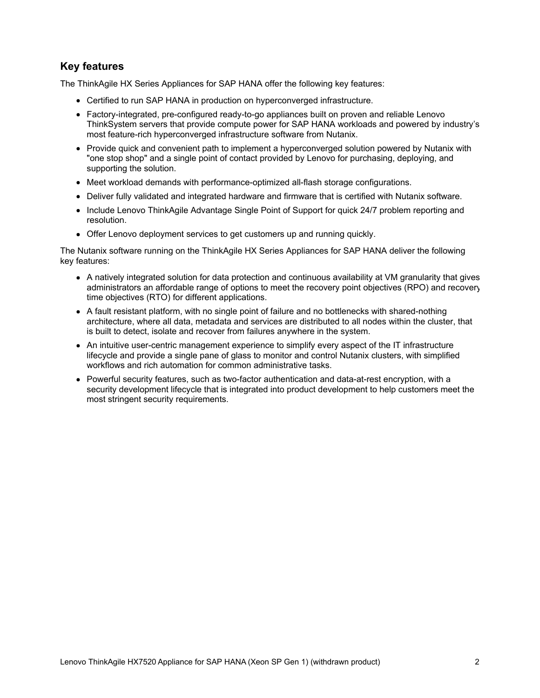# **Key features**

The ThinkAgile HX Series Appliances for SAP HANA offer the following key features:

- Certified to run SAP HANA in production on hyperconverged infrastructure.
- Factory-integrated, pre-configured ready-to-go appliances built on proven and reliable Lenovo ThinkSystem servers that provide compute power for SAP HANA workloads and powered by industry's most feature-rich hyperconverged infrastructure software from Nutanix.
- Provide quick and convenient path to implement a hyperconverged solution powered by Nutanix with "one stop shop" and a single point of contact provided by Lenovo for purchasing, deploying, and supporting the solution.
- Meet workload demands with performance-optimized all-flash storage configurations.
- Deliver fully validated and integrated hardware and firmware that is certified with Nutanix software.
- Include Lenovo ThinkAgile Advantage Single Point of Support for quick 24/7 problem reporting and resolution.
- Offer Lenovo deployment services to get customers up and running quickly.

The Nutanix software running on the ThinkAgile HX Series Appliances for SAP HANA deliver the following key features:

- A natively integrated solution for data protection and continuous availability at VM granularity that gives administrators an affordable range of options to meet the recovery point objectives (RPO) and recovery time objectives (RTO) for different applications.
- A fault resistant platform, with no single point of failure and no bottlenecks with shared-nothing architecture, where all data, metadata and services are distributed to all nodes within the cluster, that is built to detect, isolate and recover from failures anywhere in the system.
- An intuitive user-centric management experience to simplify every aspect of the IT infrastructure lifecycle and provide a single pane of glass to monitor and control Nutanix clusters, with simplified workflows and rich automation for common administrative tasks.
- Powerful security features, such as two-factor authentication and data-at-rest encryption, with a security development lifecycle that is integrated into product development to help customers meet the most stringent security requirements.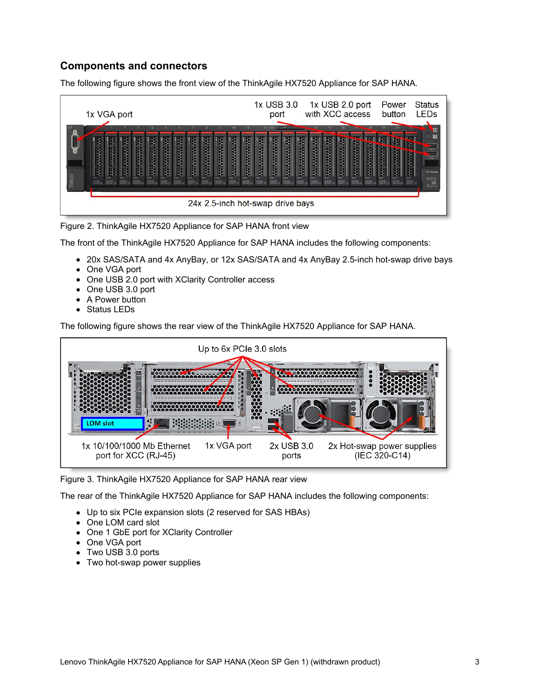# <span id="page-2-0"></span>**Components and connectors**

The following figure shows the front view of the ThinkAgile HX7520 Appliance for SAP HANA.





The front of the ThinkAgile HX7520 Appliance for SAP HANA includes the following components:

- 20x SAS/SATA and 4x AnyBay, or 12x SAS/SATA and 4x AnyBay 2.5-inch hot-swap drive bays
- One VGA port
- One USB 2.0 port with XClarity Controller access
- One USB 3.0 port
- A Power button
- Status LEDs

The following figure shows the rear view of the ThinkAgile HX7520 Appliance for SAP HANA.



Figure 3. ThinkAgile HX7520 Appliance for SAP HANA rear view

The rear of the ThinkAgile HX7520 Appliance for SAP HANA includes the following components:

- Up to six PCIe expansion slots (2 reserved for SAS HBAs)
- One LOM card slot
- One 1 GbE port for XClarity Controller
- One VGA port
- Two USB 3.0 ports
- Two hot-swap power supplies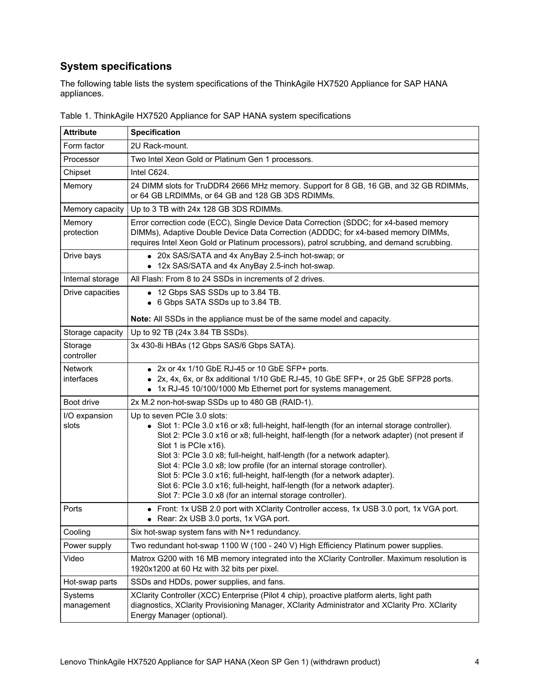# **System specifications**

The following table lists the system specifications of the ThinkAgile HX7520 Appliance for SAP HANA appliances.

| <b>Attribute</b>       | <b>Specification</b>                                                                                                                                                                                                                                                                                                                                                                                                                                                                                                                                                                                                       |
|------------------------|----------------------------------------------------------------------------------------------------------------------------------------------------------------------------------------------------------------------------------------------------------------------------------------------------------------------------------------------------------------------------------------------------------------------------------------------------------------------------------------------------------------------------------------------------------------------------------------------------------------------------|
| Form factor            | 2U Rack-mount.                                                                                                                                                                                                                                                                                                                                                                                                                                                                                                                                                                                                             |
| Processor              | Two Intel Xeon Gold or Platinum Gen 1 processors.                                                                                                                                                                                                                                                                                                                                                                                                                                                                                                                                                                          |
| Chipset                | Intel C624.                                                                                                                                                                                                                                                                                                                                                                                                                                                                                                                                                                                                                |
| Memory                 | 24 DIMM slots for TruDDR4 2666 MHz memory. Support for 8 GB, 16 GB, and 32 GB RDIMMs,<br>or 64 GB LRDIMMs, or 64 GB and 128 GB 3DS RDIMMs.                                                                                                                                                                                                                                                                                                                                                                                                                                                                                 |
| Memory capacity        | Up to 3 TB with 24x 128 GB 3DS RDIMMs.                                                                                                                                                                                                                                                                                                                                                                                                                                                                                                                                                                                     |
| Memory<br>protection   | Error correction code (ECC), Single Device Data Correction (SDDC; for x4-based memory<br>DIMMs), Adaptive Double Device Data Correction (ADDDC; for x4-based memory DIMMs,<br>requires Intel Xeon Gold or Platinum processors), patrol scrubbing, and demand scrubbing.                                                                                                                                                                                                                                                                                                                                                    |
| Drive bays             | • 20x SAS/SATA and 4x AnyBay 2.5-inch hot-swap; or<br>12x SAS/SATA and 4x AnyBay 2.5-inch hot-swap.<br>٠                                                                                                                                                                                                                                                                                                                                                                                                                                                                                                                   |
| Internal storage       | All Flash: From 8 to 24 SSDs in increments of 2 drives.                                                                                                                                                                                                                                                                                                                                                                                                                                                                                                                                                                    |
| Drive capacities       | • 12 Gbps SAS SSDs up to 3.84 TB.<br>• 6 Gbps SATA SSDs up to 3.84 TB.                                                                                                                                                                                                                                                                                                                                                                                                                                                                                                                                                     |
|                        | Note: All SSDs in the appliance must be of the same model and capacity.                                                                                                                                                                                                                                                                                                                                                                                                                                                                                                                                                    |
| Storage capacity       | Up to 92 TB (24x 3.84 TB SSDs).                                                                                                                                                                                                                                                                                                                                                                                                                                                                                                                                                                                            |
| Storage<br>controller  | 3x 430-8i HBAs (12 Gbps SAS/6 Gbps SATA).                                                                                                                                                                                                                                                                                                                                                                                                                                                                                                                                                                                  |
| Network<br>interfaces  | • 2x or 4x 1/10 GbE RJ-45 or 10 GbE SFP+ ports.<br>• 2x, 4x, 6x, or 8x additional 1/10 GbE RJ-45, 10 GbE SFP+, or 25 GbE SFP28 ports.<br>• 1x RJ-45 10/100/1000 Mb Ethernet port for systems management.                                                                                                                                                                                                                                                                                                                                                                                                                   |
| Boot drive             | 2x M.2 non-hot-swap SSDs up to 480 GB (RAID-1).                                                                                                                                                                                                                                                                                                                                                                                                                                                                                                                                                                            |
| I/O expansion<br>slots | Up to seven PCIe 3.0 slots:<br>• Slot 1: PCIe 3.0 x16 or x8; full-height, half-length (for an internal storage controller).<br>Slot 2: PCle 3.0 x16 or x8; full-height, half-length (for a network adapter) (not present if<br>Slot 1 is PCIe x16).<br>Slot 3: PCle 3.0 x8; full-height, half-length (for a network adapter).<br>Slot 4: PCle 3.0 x8; low profile (for an internal storage controller).<br>Slot 5: PCle 3.0 x16; full-height, half-length (for a network adapter).<br>Slot 6: PCle 3.0 x16; full-height, half-length (for a network adapter).<br>Slot 7: PCle 3.0 x8 (for an internal storage controller). |
| Ports                  | Front: 1x USB 2.0 port with XClarity Controller access, 1x USB 3.0 port, 1x VGA port.<br>Rear: 2x USB 3.0 ports, 1x VGA port.                                                                                                                                                                                                                                                                                                                                                                                                                                                                                              |
| Cooling                | Six hot-swap system fans with N+1 redundancy.                                                                                                                                                                                                                                                                                                                                                                                                                                                                                                                                                                              |
| Power supply           | Two redundant hot-swap 1100 W (100 - 240 V) High Efficiency Platinum power supplies.                                                                                                                                                                                                                                                                                                                                                                                                                                                                                                                                       |
| Video                  | Matrox G200 with 16 MB memory integrated into the XClarity Controller. Maximum resolution is<br>1920x1200 at 60 Hz with 32 bits per pixel.                                                                                                                                                                                                                                                                                                                                                                                                                                                                                 |
| Hot-swap parts         | SSDs and HDDs, power supplies, and fans.                                                                                                                                                                                                                                                                                                                                                                                                                                                                                                                                                                                   |
| Systems<br>management  | XClarity Controller (XCC) Enterprise (Pilot 4 chip), proactive platform alerts, light path<br>diagnostics, XClarity Provisioning Manager, XClarity Administrator and XClarity Pro. XClarity<br>Energy Manager (optional).                                                                                                                                                                                                                                                                                                                                                                                                  |

Table 1. ThinkAgile HX7520 Appliance for SAP HANA system specifications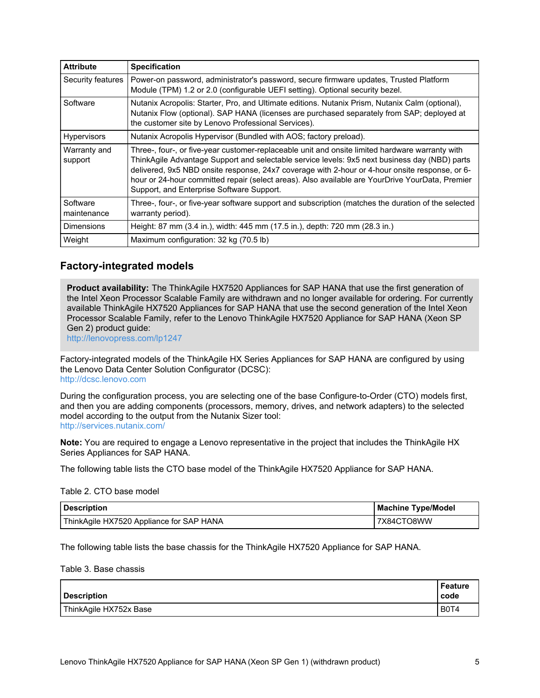| <b>Attribute</b>        | <b>Specification</b>                                                                                                                                                                                                                                                                                                                                                                                                                               |
|-------------------------|----------------------------------------------------------------------------------------------------------------------------------------------------------------------------------------------------------------------------------------------------------------------------------------------------------------------------------------------------------------------------------------------------------------------------------------------------|
| Security features       | Power-on password, administrator's password, secure firmware updates, Trusted Platform<br>Module (TPM) 1.2 or 2.0 (configurable UEFI setting). Optional security bezel.                                                                                                                                                                                                                                                                            |
| Software                | Nutanix Acropolis: Starter, Pro, and Ultimate editions. Nutanix Prism, Nutanix Calm (optional),<br>Nutanix Flow (optional). SAP HANA (licenses are purchased separately from SAP; deployed at<br>the customer site by Lenovo Professional Services).                                                                                                                                                                                               |
| <b>Hypervisors</b>      | Nutanix Acropolis Hypervisor (Bundled with AOS; factory preload).                                                                                                                                                                                                                                                                                                                                                                                  |
| Warranty and<br>support | Three-, four-, or five-year customer-replaceable unit and onsite limited hardware warranty with<br>ThinkAgile Advantage Support and selectable service levels: 9x5 next business day (NBD) parts<br>delivered, 9x5 NBD onsite response, 24x7 coverage with 2-hour or 4-hour onsite response, or 6-<br>hour or 24-hour committed repair (select areas). Also available are YourDrive YourData, Premier<br>Support, and Enterprise Software Support. |
| Software<br>maintenance | Three-, four-, or five-year software support and subscription (matches the duration of the selected<br>warranty period).                                                                                                                                                                                                                                                                                                                           |
| <b>Dimensions</b>       | Height: 87 mm (3.4 in.), width: 445 mm (17.5 in.), depth: 720 mm (28.3 in.)                                                                                                                                                                                                                                                                                                                                                                        |
| Weight                  | Maximum configuration: 32 kg (70.5 lb)                                                                                                                                                                                                                                                                                                                                                                                                             |

# **Factory-integrated models**

**Product availability:** The ThinkAgile HX7520 Appliances for SAP HANA that use the first generation of the Intel Xeon Processor Scalable Family are withdrawn and no longer available for ordering. For currently available ThinkAgile HX7520 Appliances for SAP HANA that use the second generation of the Intel Xeon Processor Scalable Family, refer to the Lenovo ThinkAgile HX7520 Appliance for SAP HANA (Xeon SP Gen 2) product guide:

<http://lenovopress.com/lp1247>

Factory-integrated models of the ThinkAgile HX Series Appliances for SAP HANA are configured by using the Lenovo Data Center Solution Configurator (DCSC): <http://dcsc.lenovo.com>

During the configuration process, you are selecting one of the base Configure-to-Order (CTO) models first, and then you are adding components (processors, memory, drives, and network adapters) to the selected model according to the output from the Nutanix Sizer tool: <http://services.nutanix.com/>

**Note:** You are required to engage a Lenovo representative in the project that includes the ThinkAgile HX Series Appliances for SAP HANA.

The following table lists the CTO base model of the ThinkAgile HX7520 Appliance for SAP HANA.

#### Table 2. CTO base model

| <b>Description</b>                       | <b>Machine Type/Model</b> |
|------------------------------------------|---------------------------|
| ThinkAgile HX7520 Appliance for SAP HANA | 7X84CTO8WW                |

The following table lists the base chassis for the ThinkAgile HX7520 Appliance for SAP HANA.

#### Table 3. Base chassis

| <b>Description</b>     | Feature<br>code               |
|------------------------|-------------------------------|
| ThinkAgile HX752x Base | B <sub>0</sub> T <sub>4</sub> |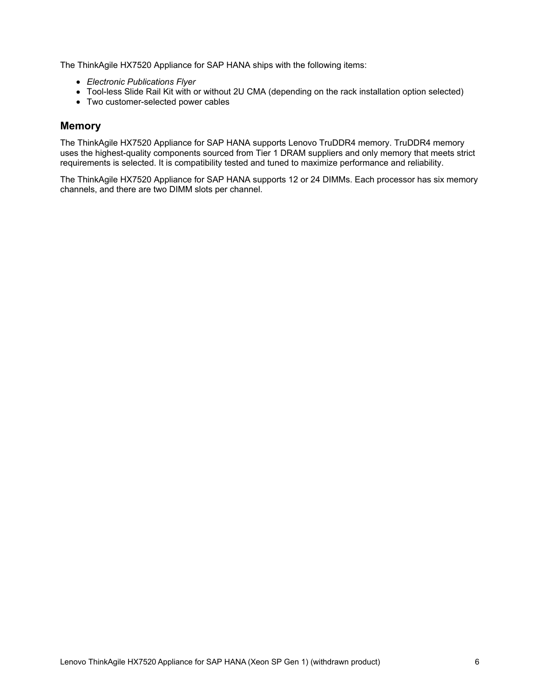The ThinkAgile HX7520 Appliance for SAP HANA ships with the following items:

- *Electronic Publications Flyer*
- Tool-less Slide Rail Kit with or without 2U CMA (depending on the rack installation option selected)
- Two customer-selected power cables

# **Memory**

The ThinkAgile HX7520 Appliance for SAP HANA supports Lenovo TruDDR4 memory. TruDDR4 memory uses the highest-quality components sourced from Tier 1 DRAM suppliers and only memory that meets strict requirements is selected. It is compatibility tested and tuned to maximize performance and reliability.

The ThinkAgile HX7520 Appliance for SAP HANA supports 12 or 24 DIMMs. Each processor has six memory channels, and there are two DIMM slots per channel.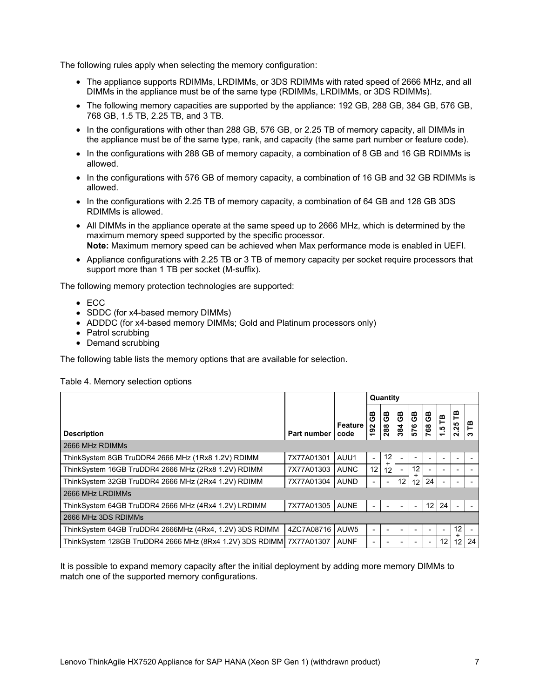The following rules apply when selecting the memory configuration:

- The appliance supports RDIMMs, LRDIMMs, or 3DS RDIMMs with rated speed of 2666 MHz, and all DIMMs in the appliance must be of the same type (RDIMMs, LRDIMMs, or 3DS RDIMMs).
- The following memory capacities are supported by the appliance: 192 GB, 288 GB, 384 GB, 576 GB, 768 GB, 1.5 TB, 2.25 TB, and 3 TB.
- In the configurations with other than 288 GB, 576 GB, or 2.25 TB of memory capacity, all DIMMs in the appliance must be of the same type, rank, and capacity (the same part number or feature code).
- In the configurations with 288 GB of memory capacity, a combination of 8 GB and 16 GB RDIMMs is allowed.
- In the configurations with 576 GB of memory capacity, a combination of 16 GB and 32 GB RDIMMs is allowed.
- In the configurations with 2.25 TB of memory capacity, a combination of 64 GB and 128 GB 3DS RDIMMs is allowed.
- All DIMMs in the appliance operate at the same speed up to 2666 MHz, which is determined by the maximum memory speed supported by the specific processor. **Note:** Maximum memory speed can be achieved when Max performance mode is enabled in UEFI.
- Appliance configurations with 2.25 TB or 3 TB of memory capacity per socket require processors that support more than 1 TB per socket (M-suffix).

The following memory protection technologies are supported:

- ECC
- SDDC (for x4-based memory DIMMs)
- ADDDC (for x4-based memory DIMMs; Gold and Platinum processors only)
- Patrol scrubbing
- Demand scrubbing

The following table lists the memory options that are available for selection.

#### Table 4. Memory selection options

|                                                                     |             |                  |                       | Quantity                 |           |                   |           |                                   |                         |        |
|---------------------------------------------------------------------|-------------|------------------|-----------------------|--------------------------|-----------|-------------------|-----------|-----------------------------------|-------------------------|--------|
| <b>Description</b>                                                  | Part number | Feature<br>code  | සි<br>$\frac{192}{2}$ | <b>GB</b><br>288         | පී<br>384 | පි<br>576         | GB<br>768 | FB<br><u>ທຸ</u><br>$\overline{ }$ | ۴<br>25<br>$\mathbf{N}$ | ۳<br>∾ |
| 2666 MHz RDIMMs                                                     |             |                  |                       |                          |           |                   |           |                                   |                         |        |
| ThinkSystem 8GB TruDDR4 2666 MHz (1Rx8 1.2V) RDIMM                  | 7X77A01301  | AUU1             |                       | 12                       |           |                   |           |                                   |                         |        |
| ThinkSystem 16GB TruDDR4 2666 MHz (2Rx8 1.2V) RDIMM                 | 7X77A01303  | <b>AUNC</b>      | 12                    | 12                       |           | 12                |           |                                   |                         |        |
| ThinkSystem 32GB TruDDR4 2666 MHz (2Rx4 1.2V) RDIMM                 | 7X77A01304  | <b>AUND</b>      |                       | $\overline{\phantom{a}}$ | 12        | $12 \overline{ }$ | 24        |                                   |                         |        |
| 2666 MHz LRDIMMs                                                    |             |                  |                       |                          |           |                   |           |                                   |                         |        |
| ThinkSystem 64GB TruDDR4 2666 MHz (4Rx4 1.2V) LRDIMM                | 7X77A01305  | <b>AUNE</b>      |                       |                          |           |                   | 12        | 24                                |                         |        |
| 2666 MHz 3DS RDIMMs                                                 |             |                  |                       |                          |           |                   |           |                                   |                         |        |
| ThinkSystem 64GB TruDDR4 2666MHz (4Rx4, 1.2V) 3DS RDIMM             | 4ZC7A08716  | AUW <sub>5</sub> |                       |                          |           |                   |           |                                   | 12                      |        |
| ThinkSystem 128GB TruDDR4 2666 MHz (8Rx4 1.2V) 3DS RDIMM 7X77A01307 |             | <b>AUNF</b>      |                       |                          |           |                   |           | 12                                | 12                      | 24     |

It is possible to expand memory capacity after the initial deployment by adding more memory DIMMs to match one of the supported memory configurations.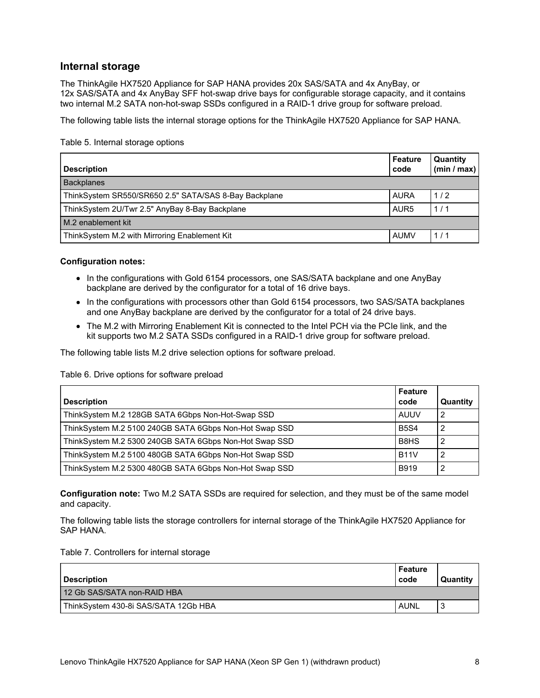# **Internal storage**

The ThinkAgile HX7520 Appliance for SAP HANA provides 20x SAS/SATA and 4x AnyBay, or 12x SAS/SATA and 4x AnyBay SFF hot-swap drive bays for configurable storage capacity, and it contains two internal M.2 SATA non-hot-swap SSDs configured in a RAID-1 drive group for software preload.

The following table lists the internal storage options for the ThinkAgile HX7520 Appliance for SAP HANA.

Table 5. Internal storage options

| <b>Description</b>                                    | Feature<br>code  | <b>Quantity</b><br>(min / max) |
|-------------------------------------------------------|------------------|--------------------------------|
| <b>Backplanes</b>                                     |                  |                                |
| ThinkSystem SR550/SR650 2.5" SATA/SAS 8-Bay Backplane | AURA             | 1/2                            |
| ThinkSystem 2U/Twr 2.5" AnyBay 8-Bay Backplane        | AUR <sub>5</sub> | 1/1                            |
| M.2 enablement kit                                    |                  |                                |
| ThinkSystem M.2 with Mirroring Enablement Kit         | <b>AUMV</b>      | 1/1                            |

## **Configuration notes:**

- In the configurations with Gold 6154 processors, one SAS/SATA backplane and one AnyBay backplane are derived by the configurator for a total of 16 drive bays.
- In the configurations with processors other than Gold 6154 processors, two SAS/SATA backplanes and one AnyBay backplane are derived by the configurator for a total of 24 drive bays.
- The M.2 with Mirroring Enablement Kit is connected to the Intel PCH via the PCIe link, and the kit supports two M.2 SATA SSDs configured in a RAID-1 drive group for software preload.

The following table lists M.2 drive selection options for software preload.

## Table 6. Drive options for software preload

| <b>Description</b>                                     | l Feature<br>code             | Quantity       |
|--------------------------------------------------------|-------------------------------|----------------|
| ThinkSystem M.2 128GB SATA 6Gbps Non-Hot-Swap SSD      | <b>AUUV</b>                   | - 2            |
| ThinkSystem M.2 5100 240GB SATA 6Gbps Non-Hot Swap SSD | <b>B5S4</b>                   | 2              |
| ThinkSystem M.2 5300 240GB SATA 6Gbps Non-Hot Swap SSD | B <sub>8</sub> H <sub>S</sub> | $\overline{2}$ |
| ThinkSystem M.2 5100 480GB SATA 6Gbps Non-Hot Swap SSD | <b>B11V</b>                   | -2             |
| ThinkSystem M.2 5300 480GB SATA 6Gbps Non-Hot Swap SSD | <b>B919</b>                   | -2             |

**Configuration note:** Two M.2 SATA SSDs are required for selection, and they must be of the same model and capacity.

The following table lists the storage controllers for internal storage of the ThinkAgile HX7520 Appliance for SAP HANA.

#### Table 7. Controllers for internal storage

| Description                          | l Feature<br>l code | Quantity |
|--------------------------------------|---------------------|----------|
| 12 Gb SAS/SATA non-RAID HBA          |                     |          |
| ThinkSystem 430-8i SAS/SATA 12Gb HBA | <b>AUNL</b>         | J        |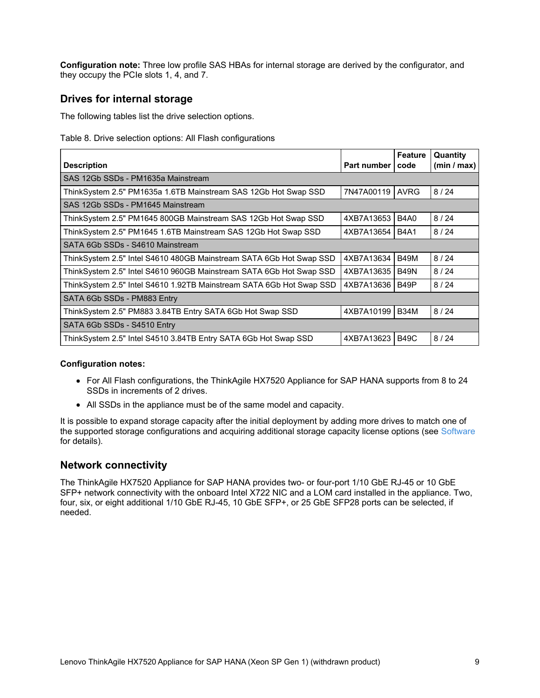**Configuration note:** Three low profile SAS HBAs for internal storage are derived by the configurator, and they occupy the PCIe slots 1, 4, and 7.

# **Drives for internal storage**

The following tables list the drive selection options.

Table 8. Drive selection options: All Flash configurations

| <b>Description</b>                                                   | Part number | Feature<br>code | Quantity<br>(min / max) |
|----------------------------------------------------------------------|-------------|-----------------|-------------------------|
| SAS 12Gb SSDs - PM1635a Mainstream                                   |             |                 |                         |
| ThinkSystem 2.5" PM1635a 1.6TB Mainstream SAS 12Gb Hot Swap SSD      | 7N47A00119  | <b>AVRG</b>     | 8/24                    |
| SAS 12Gb SSDs - PM1645 Mainstream                                    |             |                 |                         |
| ThinkSystem 2.5" PM1645 800GB Mainstream SAS 12Gb Hot Swap SSD       | 4XB7A13653  | B4A0            | 8/24                    |
| ThinkSystem 2.5" PM1645 1.6TB Mainstream SAS 12Gb Hot Swap SSD       | 4XB7A13654  | <b>B4A1</b>     | 8/24                    |
| SATA 6Gb SSDs - S4610 Mainstream                                     |             |                 |                         |
| ThinkSystem 2.5" Intel S4610 480GB Mainstream SATA 6Gb Hot Swap SSD  | 4XB7A13634  | <b>B49M</b>     | 8/24                    |
| ThinkSystem 2.5" Intel S4610 960GB Mainstream SATA 6Gb Hot Swap SSD  | 4XB7A13635  | <b>B49N</b>     | 8/24                    |
| ThinkSystem 2.5" Intel S4610 1.92TB Mainstream SATA 6Gb Hot Swap SSD | 4XB7A13636  | B49P            | 8/24                    |
| SATA 6Gb SSDs - PM883 Entry                                          |             |                 |                         |
| ThinkSystem 2.5" PM883 3.84TB Entry SATA 6Gb Hot Swap SSD            | 4XB7A10199  | <b>B34M</b>     | 8/24                    |
| SATA 6Gb SSDs - S4510 Entry                                          |             |                 |                         |
| ThinkSystem 2.5" Intel S4510 3.84TB Entry SATA 6Gb Hot Swap SSD      | 4XB7A13623  | <b>B49C</b>     | 8/24                    |

## **Configuration notes:**

- For All Flash configurations, the ThinkAgile HX7520 Appliance for SAP HANA supports from 8 to 24 SSDs in increments of 2 drives.
- All SSDs in the appliance must be of the same model and capacity.

It is possible to expand storage capacity after the initial deployment by adding more drives to match one of the supported storage configurations and acquiring additional storage capacity license options (see [Software](#page-14-0) for details).

## **Network connectivity**

The ThinkAgile HX7520 Appliance for SAP HANA provides two- or four-port 1/10 GbE RJ-45 or 10 GbE SFP+ network connectivity with the onboard Intel X722 NIC and a LOM card installed in the appliance. Two, four, six, or eight additional 1/10 GbE RJ-45, 10 GbE SFP+, or 25 GbE SFP28 ports can be selected, if needed.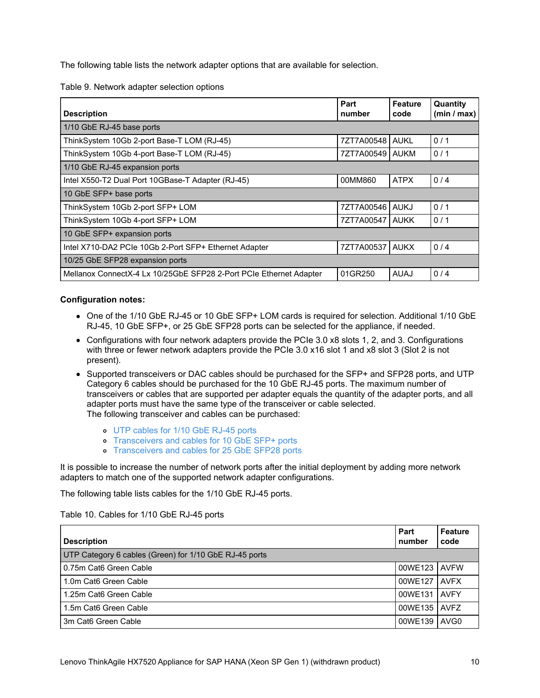The following table lists the network adapter options that are available for selection.

Table 9. Network adapter selection options

| <b>Description</b>                                                 | Part<br>number    | <b>Feature</b><br>code | Quantity<br>(min / max) |
|--------------------------------------------------------------------|-------------------|------------------------|-------------------------|
| 1/10 GbE RJ-45 base ports                                          |                   |                        |                         |
| ThinkSystem 10Gb 2-port Base-T LOM (RJ-45)                         | 7ZT7A00548 AUKL   |                        | 0/1                     |
| ThinkSystem 10Gb 4-port Base-T LOM (RJ-45)                         | 7ZT7A00549   AUKM |                        | 0/1                     |
| 1/10 GbE RJ-45 expansion ports                                     |                   |                        |                         |
| Intel X550-T2 Dual Port 10GBase-T Adapter (RJ-45)                  | 00MM860           | <b>ATPX</b>            | 0/4                     |
| 10 GbE SFP+ base ports                                             |                   |                        |                         |
| ThinkSystem 10Gb 2-port SFP+ LOM                                   | 7ZT7A00546 AUKJ   |                        | 0/1                     |
| ThinkSystem 10Gb 4-port SFP+ LOM                                   | 7ZT7A00547   AUKK |                        | 0/1                     |
| 10 GbE SFP+ expansion ports                                        |                   |                        |                         |
| Intel X710-DA2 PCIe 10Gb 2-Port SFP+ Ethernet Adapter              | 7ZT7A00537        | <b>AUKX</b>            | 0/4                     |
| 10/25 GbE SFP28 expansion ports                                    |                   |                        |                         |
| Mellanox ConnectX-4 Lx 10/25GbE SFP28 2-Port PCIe Ethernet Adapter | 01GR250           | <b>AUAJ</b>            | 0/4                     |

## **Configuration notes:**

- One of the 1/10 GbE RJ-45 or 10 GbE SFP+ LOM cards is required for selection. Additional 1/10 GbE RJ-45, 10 GbE SFP+, or 25 GbE SFP28 ports can be selected for the appliance, if needed.
- Configurations with four network adapters provide the PCIe 3.0 x8 slots 1, 2, and 3. Configurations with three or fewer network adapters provide the PCIe 3.0 x16 slot 1 and x8 slot 3 (Slot 2 is not present).
- Supported transceivers or DAC cables should be purchased for the SFP+ and SFP28 ports, and UTP Category 6 cables should be purchased for the 10 GbE RJ-45 ports. The maximum number of transceivers or cables that are supported per adapter equals the quantity of the adapter ports, and all adapter ports must have the same type of the transceiver or cable selected. The following transceiver and cables can be purchased:
	- UTP [cables](#page-9-0) for 1/10 GbE RJ-45 ports
	- o [Transceivers](#page-10-0) and cables for 10 GbE SFP+ ports
	- [Transceivers](#page-11-0) and cables for 25 GbE SFP28 ports

It is possible to increase the number of network ports after the initial deployment by adding more network adapters to match one of the supported network adapter configurations.

The following table lists cables for the 1/10 GbE RJ-45 ports.

<span id="page-9-0"></span>Table 10. Cables for 1/10 GbE RJ-45 ports

| <b>Description</b>                                     | Part<br>number | Feature<br>code  |
|--------------------------------------------------------|----------------|------------------|
| UTP Category 6 cables (Green) for 1/10 GbE RJ-45 ports |                |                  |
| 0.75m Cat6 Green Cable                                 | 00WE123 AVFW   |                  |
| 1.0m Cat6 Green Cable                                  | 00WE127        | <b>AVFX</b>      |
| 1.25m Cat6 Green Cable                                 | 00WE131 AVFY   |                  |
| 1.5m Cat6 Green Cable                                  | 00WE135        | <b>AVFZ</b>      |
| 3m Cat6 Green Cable                                    | 00WE139        | AVG <sub>0</sub> |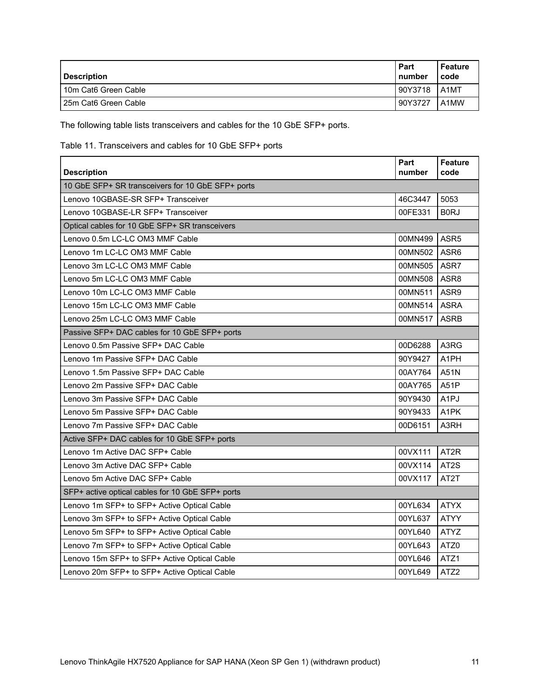| <b>Description</b>     | Part<br>number | Feature<br>code    |
|------------------------|----------------|--------------------|
| l 10m Cat6 Green Cable | 90Y3718        | LA <sub>1</sub> MT |
| l 25m Cat6 Green Cable | 90Y3727        | A1MW               |

The following table lists transceivers and cables for the 10 GbE SFP+ ports.

<span id="page-10-0"></span>Table 11. Transceivers and cables for 10 GbE SFP+ ports

| <b>Description</b>                                | Part<br>number | <b>Feature</b><br>code |  |  |
|---------------------------------------------------|----------------|------------------------|--|--|
| 10 GbE SFP+ SR transceivers for 10 GbE SFP+ ports |                |                        |  |  |
| Lenovo 10GBASE-SR SFP+ Transceiver                | 46C3447        | 5053                   |  |  |
| Lenovo 10GBASE-LR SFP+ Transceiver                | 00FE331        | B <sub>0</sub> RJ      |  |  |
| Optical cables for 10 GbE SFP+ SR transceivers    |                |                        |  |  |
| Lenovo 0.5m LC-LC OM3 MMF Cable                   | 00MN499 ASR5   |                        |  |  |
| Lenovo 1m LC-LC OM3 MMF Cable                     | 00MN502        | ASR <sub>6</sub>       |  |  |
| Lenovo 3m LC-LC OM3 MMF Cable                     | 00MN505        | ASR7                   |  |  |
| Lenovo 5m LC-LC OM3 MMF Cable                     | 00MN508 ASR8   |                        |  |  |
| Lenovo 10m LC-LC OM3 MMF Cable                    | 00MN511        | ASR <sub>9</sub>       |  |  |
| Lenovo 15m LC-LC OM3 MMF Cable                    | 00MN514        | <b>ASRA</b>            |  |  |
| Lenovo 25m LC-LC OM3 MMF Cable                    | 00MN517        | <b>ASRB</b>            |  |  |
| Passive SFP+ DAC cables for 10 GbE SFP+ ports     |                |                        |  |  |
| Lenovo 0.5m Passive SFP+ DAC Cable                | 00D6288        | A3RG                   |  |  |
| Lenovo 1m Passive SFP+ DAC Cable                  | 90Y9427        | A <sub>1</sub> PH      |  |  |
| Lenovo 1.5m Passive SFP+ DAC Cable                | 00AY764        | A51N                   |  |  |
| Lenovo 2m Passive SFP+ DAC Cable                  | 00AY765        | A51P                   |  |  |
| Lenovo 3m Passive SFP+ DAC Cable                  | 90Y9430        | A <sub>1</sub> PJ      |  |  |
| Lenovo 5m Passive SFP+ DAC Cable                  | 90Y9433        | A <sub>1</sub> PK      |  |  |
| Lenovo 7m Passive SFP+ DAC Cable                  | 00D6151        | A3RH                   |  |  |
| Active SFP+ DAC cables for 10 GbE SFP+ ports      |                |                        |  |  |
| Lenovo 1m Active DAC SFP+ Cable                   | 00VX111        | AT <sub>2</sub> R      |  |  |
| Lenovo 3m Active DAC SFP+ Cable                   | 00VX114        | AT <sub>2</sub> S      |  |  |
| Lenovo 5m Active DAC SFP+ Cable                   | 00VX117        | AT <sub>2</sub> T      |  |  |
| SFP+ active optical cables for 10 GbE SFP+ ports  |                |                        |  |  |
| Lenovo 1m SFP+ to SFP+ Active Optical Cable       | 00YL634        | <b>ATYX</b>            |  |  |
| Lenovo 3m SFP+ to SFP+ Active Optical Cable       | 00YL637        | <b>ATYY</b>            |  |  |
| Lenovo 5m SFP+ to SFP+ Active Optical Cable       | 00YL640        | <b>ATYZ</b>            |  |  |
| Lenovo 7m SFP+ to SFP+ Active Optical Cable       | 00YL643        | ATZ0                   |  |  |
| Lenovo 15m SFP+ to SFP+ Active Optical Cable      | 00YL646        | ATZ <sub>1</sub>       |  |  |
| Lenovo 20m SFP+ to SFP+ Active Optical Cable      | 00YL649        | ATZ2                   |  |  |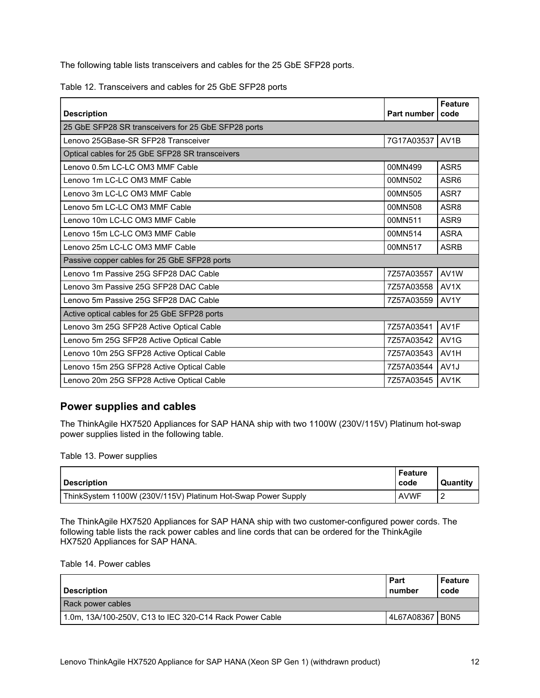The following table lists transceivers and cables for the 25 GbE SFP28 ports.

<span id="page-11-0"></span>Table 12. Transceivers and cables for 25 GbE SFP28 ports

| <b>Description</b>                                  | <b>Part number</b> | <b>Feature</b><br>code |  |  |
|-----------------------------------------------------|--------------------|------------------------|--|--|
| 25 GbE SFP28 SR transceivers for 25 GbE SFP28 ports |                    |                        |  |  |
| Lenovo 25GBase-SR SFP28 Transceiver                 | 7G17A03537         | AV <sub>1</sub> B      |  |  |
| Optical cables for 25 GbE SFP28 SR transceivers     |                    |                        |  |  |
| Lenovo 0.5m LC-LC OM3 MMF Cable                     | 00MN499            | ASR <sub>5</sub>       |  |  |
| Lenovo 1m LC-LC OM3 MMF Cable                       | 00MN502            | ASR <sub>6</sub>       |  |  |
| Lenovo 3m LC-LC OM3 MMF Cable                       | 00MN505            | ASR7                   |  |  |
| Lenovo 5m LC-LC OM3 MMF Cable                       | 00MN508            | ASR8                   |  |  |
| Lenovo 10m LC-LC OM3 MMF Cable                      | 00MN511            | ASR9                   |  |  |
| Lenovo 15m LC-LC OM3 MMF Cable                      | 00MN514            | <b>ASRA</b>            |  |  |
| Lenovo 25m LC-LC OM3 MMF Cable                      | 00MN517            | <b>ASRB</b>            |  |  |
| Passive copper cables for 25 GbE SFP28 ports        |                    |                        |  |  |
| Lenovo 1m Passive 25G SFP28 DAC Cable               | 7Z57A03557         | AV1W                   |  |  |
| Lenovo 3m Passive 25G SFP28 DAC Cable               | 7Z57A03558         | AV1X                   |  |  |
| Lenovo 5m Passive 25G SFP28 DAC Cable               | 7Z57A03559         | AV1Y                   |  |  |
| Active optical cables for 25 GbE SFP28 ports        |                    |                        |  |  |
| Lenovo 3m 25G SFP28 Active Optical Cable            | 7Z57A03541         | AV1F                   |  |  |
| Lenovo 5m 25G SFP28 Active Optical Cable            | 7Z57A03542         | AV <sub>1</sub> G      |  |  |
| Lenovo 10m 25G SFP28 Active Optical Cable           | 7Z57A03543         | AV <sub>1</sub> H      |  |  |
| Lenovo 15m 25G SFP28 Active Optical Cable           | 7Z57A03544         | AV <sub>1</sub> J      |  |  |
| Lenovo 20m 25G SFP28 Active Optical Cable           | 7Z57A03545         | AV <sub>1</sub> K      |  |  |

# **Power supplies and cables**

The ThinkAgile HX7520 Appliances for SAP HANA ship with two 1100W (230V/115V) Platinum hot-swap power supplies listed in the following table.

Table 13. Power supplies

| <b>Description</b>                                           | Feature<br>code | <b>Quantity</b> |
|--------------------------------------------------------------|-----------------|-----------------|
| ThinkSystem 1100W (230V/115V) Platinum Hot-Swap Power Supply | <b>AVWF</b>     | ∼               |

The ThinkAgile HX7520 Appliances for SAP HANA ship with two customer-configured power cords. The following table lists the rack power cables and line cords that can be ordered for the ThinkAgile HX7520 Appliances for SAP HANA.

Table 14. Power cables

| <b>Description</b>                                      | Part<br>number | Feature<br>code               |
|---------------------------------------------------------|----------------|-------------------------------|
| Rack power cables                                       |                |                               |
| 1.0m, 13A/100-250V, C13 to IEC 320-C14 Rack Power Cable | 4L67A08367     | B <sub>0</sub> N <sub>5</sub> |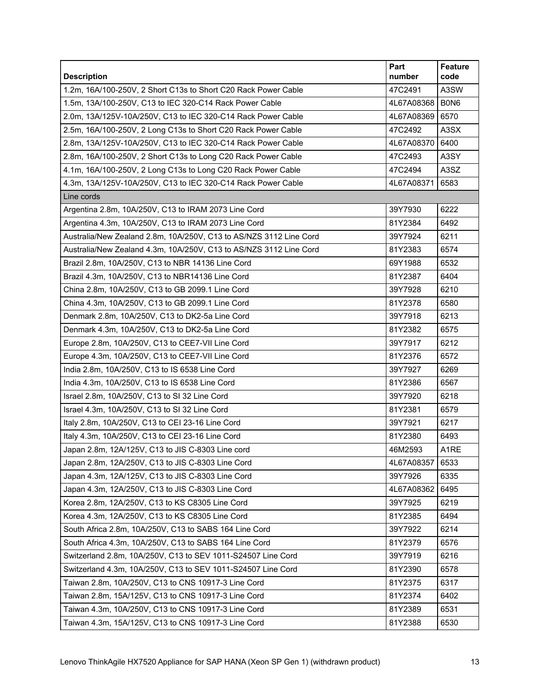| <b>Description</b>                                                 | Part<br>number | Feature<br>code   |
|--------------------------------------------------------------------|----------------|-------------------|
| 1.2m, 16A/100-250V, 2 Short C13s to Short C20 Rack Power Cable     | 47C2491        | A3SW              |
| 1.5m, 13A/100-250V, C13 to IEC 320-C14 Rack Power Cable            | 4L67A08368     | B0N6              |
| 2.0m, 13A/125V-10A/250V, C13 to IEC 320-C14 Rack Power Cable       | 4L67A08369     | 6570              |
| 2.5m, 16A/100-250V, 2 Long C13s to Short C20 Rack Power Cable      | 47C2492        | A3SX              |
| 2.8m, 13A/125V-10A/250V, C13 to IEC 320-C14 Rack Power Cable       | 4L67A08370     | 6400              |
| 2.8m, 16A/100-250V, 2 Short C13s to Long C20 Rack Power Cable      | 47C2493        | A3SY              |
| 4.1m, 16A/100-250V, 2 Long C13s to Long C20 Rack Power Cable       | 47C2494        | A3SZ              |
| 4.3m, 13A/125V-10A/250V, C13 to IEC 320-C14 Rack Power Cable       | 4L67A08371     | 6583              |
| Line cords                                                         |                |                   |
| Argentina 2.8m, 10A/250V, C13 to IRAM 2073 Line Cord               | 39Y7930        | 6222              |
| Argentina 4.3m, 10A/250V, C13 to IRAM 2073 Line Cord               | 81Y2384        | 6492              |
| Australia/New Zealand 2.8m, 10A/250V, C13 to AS/NZS 3112 Line Cord | 39Y7924        | 6211              |
| Australia/New Zealand 4.3m, 10A/250V, C13 to AS/NZS 3112 Line Cord | 81Y2383        | 6574              |
| Brazil 2.8m, 10A/250V, C13 to NBR 14136 Line Cord                  | 69Y1988        | 6532              |
| Brazil 4.3m, 10A/250V, C13 to NBR14136 Line Cord                   | 81Y2387        | 6404              |
| China 2.8m, 10A/250V, C13 to GB 2099.1 Line Cord                   | 39Y7928        | 6210              |
| China 4.3m, 10A/250V, C13 to GB 2099.1 Line Cord                   | 81Y2378        | 6580              |
| Denmark 2.8m, 10A/250V, C13 to DK2-5a Line Cord                    | 39Y7918        | 6213              |
| Denmark 4.3m, 10A/250V, C13 to DK2-5a Line Cord                    | 81Y2382        | 6575              |
| Europe 2.8m, 10A/250V, C13 to CEE7-VII Line Cord                   | 39Y7917        | 6212              |
| Europe 4.3m, 10A/250V, C13 to CEE7-VII Line Cord                   | 81Y2376        | 6572              |
| India 2.8m, 10A/250V, C13 to IS 6538 Line Cord                     | 39Y7927        | 6269              |
| India 4.3m, 10A/250V, C13 to IS 6538 Line Cord                     | 81Y2386        | 6567              |
| Israel 2.8m, 10A/250V, C13 to SI 32 Line Cord                      | 39Y7920        | 6218              |
| Israel 4.3m, 10A/250V, C13 to SI 32 Line Cord                      | 81Y2381        | 6579              |
| Italy 2.8m, 10A/250V, C13 to CEI 23-16 Line Cord                   | 39Y7921        | 6217              |
| Italy 4.3m, 10A/250V, C13 to CEI 23-16 Line Cord                   | 81Y2380        | 6493              |
| Japan 2.8m, 12A/125V, C13 to JIS C-8303 Line cord                  | 46M2593        | A <sub>1</sub> RE |
| Japan 2.8m, 12A/250V, C13 to JIS C-8303 Line Cord                  | 4L67A08357     | 6533              |
| Japan 4.3m, 12A/125V, C13 to JIS C-8303 Line Cord                  | 39Y7926        | 6335              |
| Japan 4.3m, 12A/250V, C13 to JIS C-8303 Line Cord                  | 4L67A08362     | 6495              |
| Korea 2.8m, 12A/250V, C13 to KS C8305 Line Cord                    | 39Y7925        | 6219              |
| Korea 4.3m, 12A/250V, C13 to KS C8305 Line Cord                    | 81Y2385        | 6494              |
| South Africa 2.8m, 10A/250V, C13 to SABS 164 Line Cord             | 39Y7922        | 6214              |
| South Africa 4.3m, 10A/250V, C13 to SABS 164 Line Cord             | 81Y2379        | 6576              |
| Switzerland 2.8m, 10A/250V, C13 to SEV 1011-S24507 Line Cord       | 39Y7919        | 6216              |
| Switzerland 4.3m, 10A/250V, C13 to SEV 1011-S24507 Line Cord       | 81Y2390        | 6578              |
| Taiwan 2.8m, 10A/250V, C13 to CNS 10917-3 Line Cord                | 81Y2375        | 6317              |
| Taiwan 2.8m, 15A/125V, C13 to CNS 10917-3 Line Cord                | 81Y2374        | 6402              |
| Taiwan 4.3m, 10A/250V, C13 to CNS 10917-3 Line Cord                | 81Y2389        | 6531              |
| Taiwan 4.3m, 15A/125V, C13 to CNS 10917-3 Line Cord                | 81Y2388        | 6530              |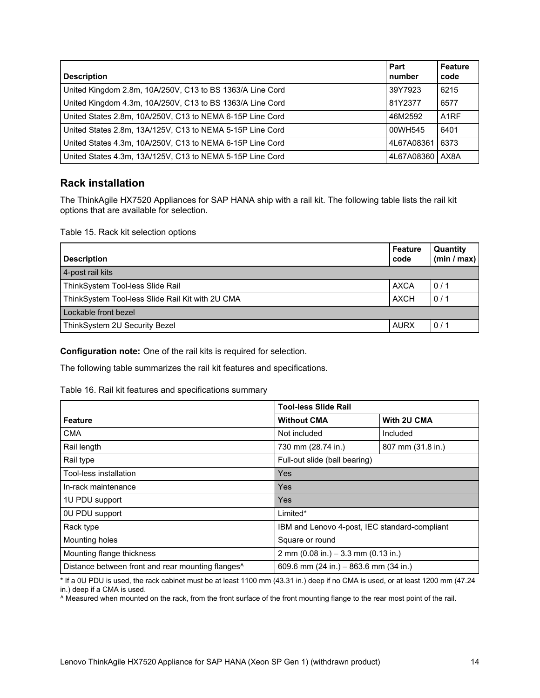| <b>Description</b>                                        | Part<br>number | <b>Feature</b><br>code |
|-----------------------------------------------------------|----------------|------------------------|
| United Kingdom 2.8m, 10A/250V, C13 to BS 1363/A Line Cord | 39Y7923        | 6215                   |
| United Kingdom 4.3m, 10A/250V, C13 to BS 1363/A Line Cord | 81Y2377        | 6577                   |
| United States 2.8m, 10A/250V, C13 to NEMA 6-15P Line Cord | 46M2592        | A <sub>1</sub> RF      |
| United States 2.8m, 13A/125V, C13 to NEMA 5-15P Line Cord | 00WH545        | 6401                   |
| United States 4.3m, 10A/250V, C13 to NEMA 6-15P Line Cord | 4L67A08361     | 6373                   |
| United States 4.3m, 13A/125V, C13 to NEMA 5-15P Line Cord | 4L67A08360     | AX8A                   |

# **Rack installation**

The ThinkAgile HX7520 Appliances for SAP HANA ship with a rail kit. The following table lists the rail kit options that are available for selection.

Table 15. Rack kit selection options

| <b>Description</b>                               | Feature<br>code | <b>Quantity</b><br>(min / max) |
|--------------------------------------------------|-----------------|--------------------------------|
| 4-post rail kits                                 |                 |                                |
| ThinkSystem Tool-less Slide Rail                 | <b>AXCA</b>     | 0/1                            |
| ThinkSystem Tool-less Slide Rail Kit with 2U CMA | <b>AXCH</b>     | 0/1                            |
| Lockable front bezel                             |                 |                                |
| ThinkSystem 2U Security Bezel                    | <b>AURX</b>     | 0/1                            |

**Configuration note:** One of the rail kits is required for selection.

The following table summarizes the rail kit features and specifications.

## Table 16. Rail kit features and specifications summary

|                                                               | <b>Tool-less Slide Rail</b>                   |                   |  |
|---------------------------------------------------------------|-----------------------------------------------|-------------------|--|
| <b>Feature</b>                                                | <b>Without CMA</b>                            | With 2U CMA       |  |
| <b>CMA</b>                                                    | Not included                                  | Included          |  |
| Rail length                                                   | 730 mm (28.74 in.)                            | 807 mm (31.8 in.) |  |
| Rail type                                                     | Full-out slide (ball bearing)                 |                   |  |
| Tool-less installation                                        | Yes                                           |                   |  |
| In-rack maintenance                                           | Yes                                           |                   |  |
| 1U PDU support                                                | Yes                                           |                   |  |
| 0U PDU support                                                | Limited*                                      |                   |  |
| Rack type                                                     | IBM and Lenovo 4-post, IEC standard-compliant |                   |  |
| Mounting holes                                                | Square or round                               |                   |  |
| Mounting flange thickness                                     | 2 mm (0.08 in.) $-3.3$ mm (0.13 in.)          |                   |  |
| Distance between front and rear mounting flanges <sup>^</sup> | 609.6 mm $(24 in.) - 863.6$ mm $(34 in.)$     |                   |  |

\* If a 0U PDU is used, the rack cabinet must be at least 1100 mm (43.31 in.) deep if no CMA is used, or at least 1200 mm (47.24 in.) deep if a CMA is used.

^ Measured when mounted on the rack, from the front surface of the front mounting flange to the rear most point of the rail.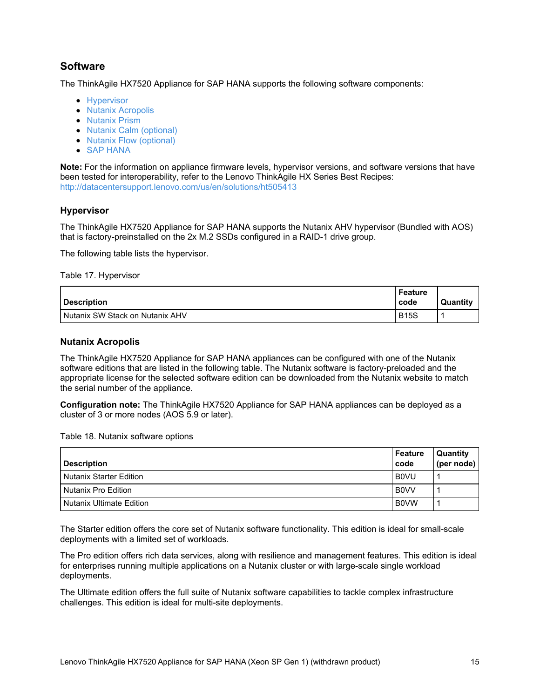# <span id="page-14-0"></span>**Software**

The ThinkAgile HX7520 Appliance for SAP HANA supports the following software components:

- [Hypervisor](#page-14-1)
- Nutanix [Acropolis](#page-14-2)
- [Nutanix](#page-18-0) Prism
- Nutanix Calm [\(optional\)](#page-20-0)
- Nutanix Flow [\(optional\)](#page-21-0)
- SAP [HANA](#page-21-1)

**Note:** For the information on appliance firmware levels, hypervisor versions, and software versions that have been tested for interoperability, refer to the Lenovo ThinkAgile HX Series Best Recipes: <http://datacentersupport.lenovo.com/us/en/solutions/ht505413>

## <span id="page-14-1"></span>**Hypervisor**

The ThinkAgile HX7520 Appliance for SAP HANA supports the Nutanix AHV hypervisor (Bundled with AOS) that is factory-preinstalled on the 2x M.2 SSDs configured in a RAID-1 drive group.

The following table lists the hypervisor.

Table 17. Hypervisor

| <b>Description</b>              | Feature<br>code | <b>Quantity</b> |
|---------------------------------|-----------------|-----------------|
| Nutanix SW Stack on Nutanix AHV | <b>B15S</b>     |                 |

## <span id="page-14-2"></span>**Nutanix Acropolis**

The ThinkAgile HX7520 Appliance for SAP HANA appliances can be configured with one of the Nutanix software editions that are listed in the following table. The Nutanix software is factory-preloaded and the appropriate license for the selected software edition can be downloaded from the Nutanix website to match the serial number of the appliance.

**Configuration note:** The ThinkAgile HX7520 Appliance for SAP HANA appliances can be deployed as a cluster of 3 or more nodes (AOS 5.9 or later).

Table 18. Nutanix software options

| <b>Description</b>       | Feature<br>code | <b>Quantity</b><br>(per node) |
|--------------------------|-----------------|-------------------------------|
| Nutanix Starter Edition  | <b>BOVU</b>     |                               |
| l Nutanix Pro Edition    | <b>BOVV</b>     |                               |
| Nutanix Ultimate Edition | <b>B0VW</b>     |                               |

The Starter edition offers the core set of Nutanix software functionality. This edition is ideal for small-scale deployments with a limited set of workloads.

The Pro edition offers rich data services, along with resilience and management features. This edition is ideal for enterprises running multiple applications on a Nutanix cluster or with large-scale single workload deployments.

The Ultimate edition offers the full suite of Nutanix software capabilities to tackle complex infrastructure challenges. This edition is ideal for multi-site deployments.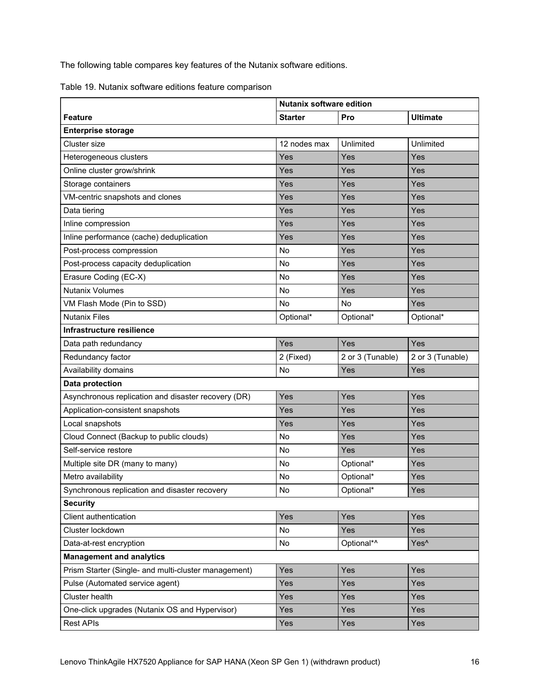The following table compares key features of the Nutanix software editions.

|  |  | Table 19. Nutanix software editions feature comparison |
|--|--|--------------------------------------------------------|
|  |  |                                                        |

|                                                      | <b>Nutanix software edition</b> |                  |                  |  |
|------------------------------------------------------|---------------------------------|------------------|------------------|--|
| <b>Feature</b>                                       | <b>Starter</b>                  | Pro              | <b>Ultimate</b>  |  |
| <b>Enterprise storage</b>                            |                                 |                  |                  |  |
| Cluster size                                         | 12 nodes max                    | Unlimited        | Unlimited        |  |
| Heterogeneous clusters                               | Yes                             | Yes              | Yes              |  |
| Online cluster grow/shrink                           | Yes                             | Yes              | Yes              |  |
| Storage containers                                   | Yes                             | Yes              | Yes              |  |
| VM-centric snapshots and clones                      | Yes                             | Yes              | Yes              |  |
| Data tiering                                         | Yes                             | Yes              | Yes              |  |
| Inline compression                                   | Yes                             | Yes              | Yes              |  |
| Inline performance (cache) deduplication             | Yes                             | Yes              | Yes              |  |
| Post-process compression                             | <b>No</b>                       | Yes              | Yes              |  |
| Post-process capacity deduplication                  | <b>No</b>                       | Yes              | Yes              |  |
| Erasure Coding (EC-X)                                | <b>No</b>                       | Yes              | Yes              |  |
| <b>Nutanix Volumes</b>                               | <b>No</b>                       | Yes              | Yes              |  |
| VM Flash Mode (Pin to SSD)                           | <b>No</b>                       | <b>No</b>        | Yes              |  |
| <b>Nutanix Files</b>                                 | Optional*                       | Optional*        | Optional*        |  |
| Infrastructure resilience                            |                                 |                  |                  |  |
| Data path redundancy                                 | Yes                             | Yes              | Yes              |  |
| Redundancy factor                                    | 2 (Fixed)                       | 2 or 3 (Tunable) | 2 or 3 (Tunable) |  |
| Availability domains                                 | <b>No</b>                       | Yes              | Yes              |  |
| Data protection                                      |                                 |                  |                  |  |
| Asynchronous replication and disaster recovery (DR)  | Yes                             | Yes              | Yes              |  |
| Application-consistent snapshots                     | Yes                             | Yes              | Yes              |  |
| Local snapshots                                      | Yes                             | Yes              | Yes              |  |
| Cloud Connect (Backup to public clouds)              | No                              | Yes              | Yes              |  |
| Self-service restore                                 | <b>No</b>                       | Yes              | Yes              |  |
| Multiple site DR (many to many)                      | No                              | Optional*        | Yes              |  |
| Metro availability                                   | No                              | Optional*        | Yes              |  |
| Synchronous replication and disaster recovery        | No                              | Optional*        | Yes              |  |
| <b>Security</b>                                      |                                 |                  |                  |  |
| Client authentication                                | Yes                             | Yes              | Yes              |  |
| Cluster lockdown                                     | No                              | Yes              | Yes              |  |
| Data-at-rest encryption                              | No                              | Optional*^       | Yes <sup>^</sup> |  |
| <b>Management and analytics</b>                      |                                 |                  |                  |  |
| Prism Starter (Single- and multi-cluster management) | Yes                             | Yes              | Yes              |  |
| Pulse (Automated service agent)                      | Yes                             | Yes              | Yes              |  |
| Cluster health                                       | Yes                             | Yes              | Yes              |  |
| One-click upgrades (Nutanix OS and Hypervisor)       | Yes                             | Yes              | Yes              |  |
| <b>Rest APIs</b>                                     | Yes                             | Yes              | Yes              |  |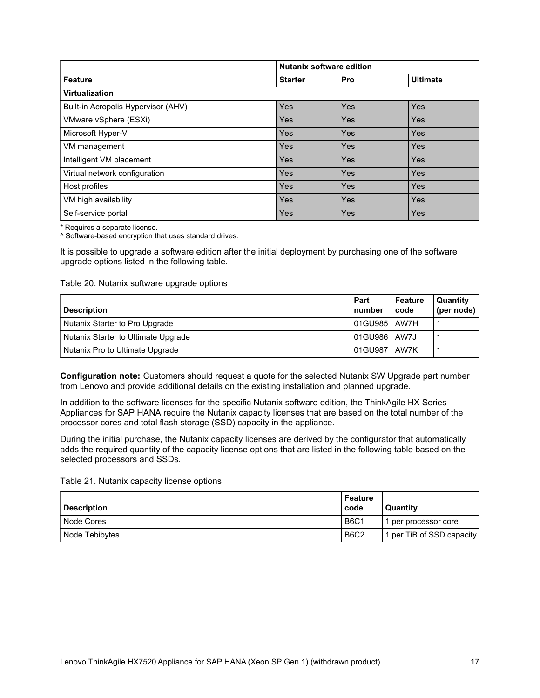|                                     | <b>Nutanix software edition</b> |            |                 |  |
|-------------------------------------|---------------------------------|------------|-----------------|--|
| <b>Feature</b>                      | <b>Starter</b>                  | Pro        | <b>Ultimate</b> |  |
| <b>Virtualization</b>               |                                 |            |                 |  |
| Built-in Acropolis Hypervisor (AHV) | Yes                             | <b>Yes</b> | <b>Yes</b>      |  |
| VMware vSphere (ESXi)               | Yes                             | Yes        | <b>Yes</b>      |  |
| Microsoft Hyper-V                   | Yes                             | Yes        | <b>Yes</b>      |  |
| VM management                       | Yes                             | Yes        | <b>Yes</b>      |  |
| Intelligent VM placement            | Yes                             | <b>Yes</b> | <b>Yes</b>      |  |
| Virtual network configuration       | Yes                             | Yes        | <b>Yes</b>      |  |
| Host profiles                       | Yes                             | <b>Yes</b> | <b>Yes</b>      |  |
| VM high availability                | Yes                             | Yes        | <b>Yes</b>      |  |
| Self-service portal                 | Yes                             | Yes        | Yes             |  |

\* Requires a separate license.

^ Software-based encryption that uses standard drives.

It is possible to upgrade a software edition after the initial deployment by purchasing one of the software upgrade options listed in the following table.

Table 20. Nutanix software upgrade options

| <b>Description</b>                  | Part<br>number | Feature<br>code | <b>Quantity</b><br>(per node) |
|-------------------------------------|----------------|-----------------|-------------------------------|
| Nutanix Starter to Pro Upgrade      | 01GU985   AW7H |                 |                               |
| Nutanix Starter to Ultimate Upgrade | 01GU986 AW7J   |                 |                               |
| Nutanix Pro to Ultimate Upgrade     | 01GU987        | <b>LAW7K</b>    |                               |

**Configuration note:** Customers should request a quote for the selected Nutanix SW Upgrade part number from Lenovo and provide additional details on the existing installation and planned upgrade.

In addition to the software licenses for the specific Nutanix software edition, the ThinkAgile HX Series Appliances for SAP HANA require the Nutanix capacity licenses that are based on the total number of the processor cores and total flash storage (SSD) capacity in the appliance.

During the initial purchase, the Nutanix capacity licenses are derived by the configurator that automatically adds the required quantity of the capacity license options that are listed in the following table based on the selected processors and SSDs.

Table 21. Nutanix capacity license options

| <b>Description</b> | Feature<br>code | Quantity                  |
|--------------------|-----------------|---------------------------|
| Node Cores         | <b>B6C1</b>     | per processor core        |
| Node Tebibytes     | <b>B6C2</b>     | 1 per TiB of SSD capacity |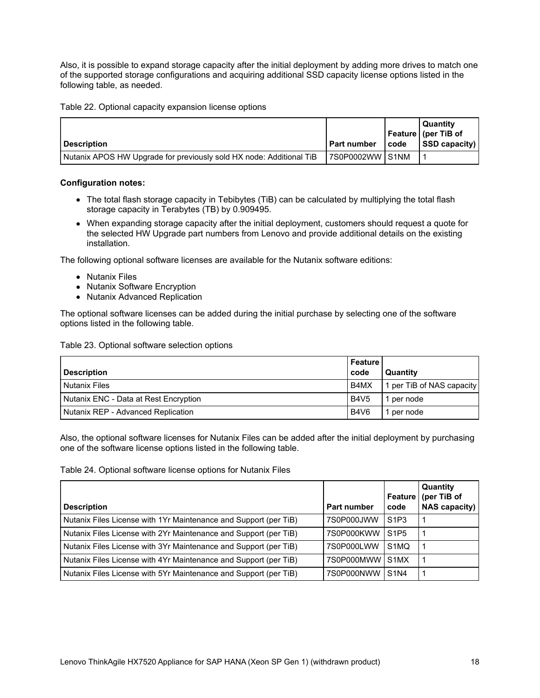Also, it is possible to expand storage capacity after the initial deployment by adding more drives to match one of the supported storage configurations and acquiring additional SSD capacity license options listed in the following table, as needed.

Table 22. Optional capacity expansion license options

|                                                                     |                     |      | Quantity              |
|---------------------------------------------------------------------|---------------------|------|-----------------------|
|                                                                     |                     |      | Feature   (per TiB of |
| l Description                                                       | l Part number       | code | <b>SSD</b> capacity)  |
| Nutanix APOS HW Upgrade for previously sold HX node: Additional TiB | I 7S0P0002WW I S1NM |      |                       |

## **Configuration notes:**

- The total flash storage capacity in Tebibytes (TiB) can be calculated by multiplying the total flash storage capacity in Terabytes (TB) by 0.909495.
- When expanding storage capacity after the initial deployment, customers should request a quote for the selected HW Upgrade part numbers from Lenovo and provide additional details on the existing installation.

The following optional software licenses are available for the Nutanix software editions:

- Nutanix Files
- Nutanix Software Encryption
- Nutanix Advanced Replication

The optional software licenses can be added during the initial purchase by selecting one of the software options listed in the following table.

Table 23. Optional software selection options

| <b>Description</b>                    | l Feature<br>code | Quantity                  |
|---------------------------------------|-------------------|---------------------------|
| <b>Nutanix Files</b>                  | B4MX              | 1 per TiB of NAS capacity |
| Nutanix ENC - Data at Rest Encryption | <b>B4V5</b>       | per node                  |
| l Nutanix REP - Advanced Replication  | <b>B4V6</b>       | per node                  |

Also, the optional software licenses for Nutanix Files can be added after the initial deployment by purchasing one of the software license options listed in the following table.

Table 24. Optional software license options for Nutanix Files

|                                                                  |                 | Feature                       | Quantity<br>(per TiB of |
|------------------------------------------------------------------|-----------------|-------------------------------|-------------------------|
| <b>Description</b>                                               | Part number     | code                          | <b>NAS capacity)</b>    |
| Nutanix Files License with 1Yr Maintenance and Support (per TiB) | 7S0P000JWW      | S1P3                          |                         |
| Nutanix Files License with 2Yr Maintenance and Support (per TiB) | 7S0P000KWW      | S <sub>1</sub> P <sub>5</sub> |                         |
| Nutanix Files License with 3Yr Maintenance and Support (per TiB) | 7S0P000LWW      | S <sub>1</sub> MQ             |                         |
| Nutanix Files License with 4Yr Maintenance and Support (per TiB) | 7S0P000MWW S1MX |                               |                         |
| Nutanix Files License with 5Yr Maintenance and Support (per TiB) | 7S0P000NWW      | <b>S1N4</b>                   |                         |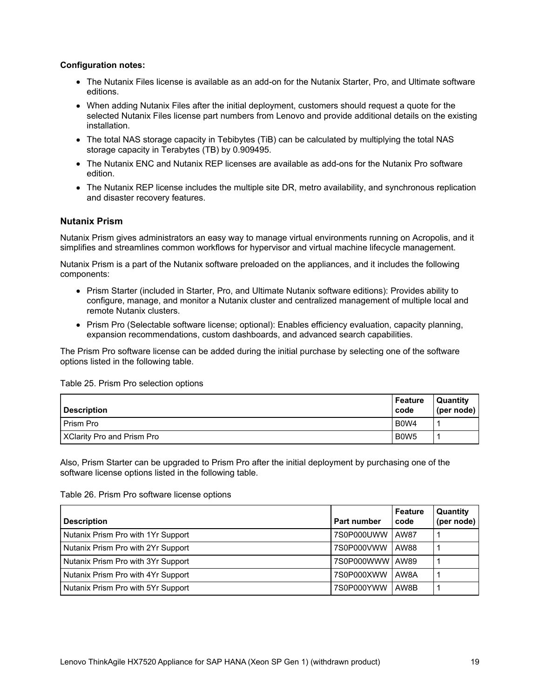## **Configuration notes:**

- The Nutanix Files license is available as an add-on for the Nutanix Starter, Pro, and Ultimate software editions.
- When adding Nutanix Files after the initial deployment, customers should request a quote for the selected Nutanix Files license part numbers from Lenovo and provide additional details on the existing installation.
- The total NAS storage capacity in Tebibytes (TiB) can be calculated by multiplying the total NAS storage capacity in Terabytes (TB) by 0.909495.
- The Nutanix ENC and Nutanix REP licenses are available as add-ons for the Nutanix Pro software edition.
- The Nutanix REP license includes the multiple site DR, metro availability, and synchronous replication and disaster recovery features.

## <span id="page-18-0"></span>**Nutanix Prism**

Nutanix Prism gives administrators an easy way to manage virtual environments running on Acropolis, and it simplifies and streamlines common workflows for hypervisor and virtual machine lifecycle management.

Nutanix Prism is a part of the Nutanix software preloaded on the appliances, and it includes the following components:

- Prism Starter (included in Starter, Pro, and Ultimate Nutanix software editions): Provides ability to configure, manage, and monitor a Nutanix cluster and centralized management of multiple local and remote Nutanix clusters.
- Prism Pro (Selectable software license; optional): Enables efficiency evaluation, capacity planning, expansion recommendations, custom dashboards, and advanced search capabilities.

The Prism Pro software license can be added during the initial purchase by selecting one of the software options listed in the following table.

Table 25. Prism Pro selection options

| <b>Description</b>                | Feature<br>code               | <b>Quantity</b><br>(per node) |
|-----------------------------------|-------------------------------|-------------------------------|
| Prism Pro                         | B <sub>0</sub> W <sub>4</sub> |                               |
| <b>XClarity Pro and Prism Pro</b> | B <sub>0</sub> W <sub>5</sub> |                               |

Also, Prism Starter can be upgraded to Prism Pro after the initial deployment by purchasing one of the software license options listed in the following table.

Table 26. Prism Pro software license options

| <b>Description</b>                 | Part number      | <b>Feature</b><br>code | Quantity<br>(per node) |
|------------------------------------|------------------|------------------------|------------------------|
| Nutanix Prism Pro with 1Yr Support | 7S0P000UWW       | AW87                   |                        |
| Nutanix Prism Pro with 2Yr Support | 7S0P000VWW       | AW88                   |                        |
| Nutanix Prism Pro with 3Yr Support | 7S0P000WWW LAW89 |                        |                        |
| Nutanix Prism Pro with 4Yr Support | 7S0P000XWW       | AW8A                   |                        |
| Nutanix Prism Pro with 5Yr Support | 7S0P000YWW       | AW8B                   |                        |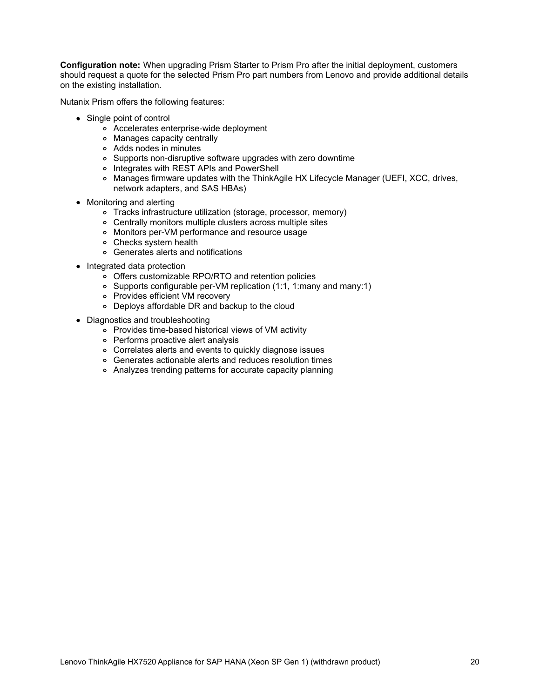**Configuration note:** When upgrading Prism Starter to Prism Pro after the initial deployment, customers should request a quote for the selected Prism Pro part numbers from Lenovo and provide additional details on the existing installation.

Nutanix Prism offers the following features:

- Single point of control
	- Accelerates enterprise-wide deployment
	- Manages capacity centrally
	- Adds nodes in minutes
	- Supports non-disruptive software upgrades with zero downtime
	- o Integrates with REST APIs and PowerShell
	- o Manages firmware updates with the ThinkAgile HX Lifecycle Manager (UEFI, XCC, drives, network adapters, and SAS HBAs)
- Monitoring and alerting
	- Tracks infrastructure utilization (storage, processor, memory)
	- Centrally monitors multiple clusters across multiple sites
	- Monitors per-VM performance and resource usage
	- Checks system health
	- Generates alerts and notifications
- Integrated data protection
	- Offers customizable RPO/RTO and retention policies
	- Supports configurable per-VM replication (1:1, 1:many and many:1)
	- Provides efficient VM recovery
	- Deploys affordable DR and backup to the cloud
- Diagnostics and troubleshooting
	- Provides time-based historical views of VM activity
	- Performs proactive alert analysis
	- Correlates alerts and events to quickly diagnose issues
	- Generates actionable alerts and reduces resolution times
	- Analyzes trending patterns for accurate capacity planning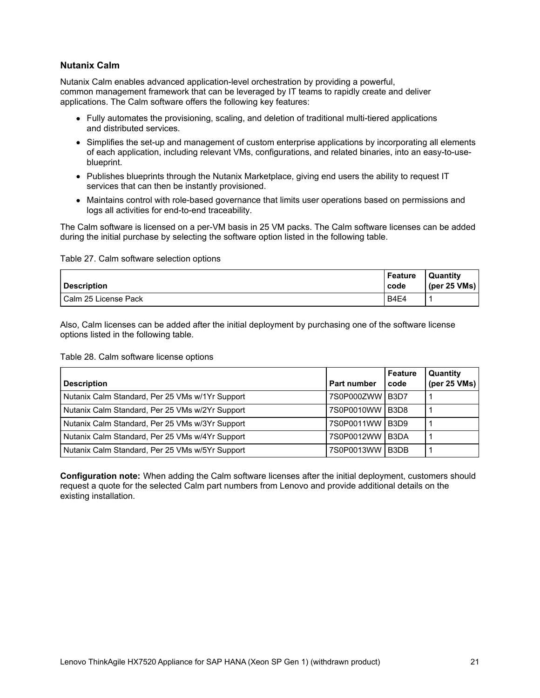## <span id="page-20-0"></span>**Nutanix Calm**

Nutanix Calm enables advanced application-level orchestration by providing a powerful, common management framework that can be leveraged by IT teams to rapidly create and deliver applications. The Calm software offers the following key features:

- Fully automates the provisioning, scaling, and deletion of traditional multi-tiered applications and distributed services.
- Simplifies the set-up and management of custom enterprise applications by incorporating all elements of each application, including relevant VMs, configurations, and related binaries, into an easy-to-useblueprint.
- Publishes blueprints through the Nutanix Marketplace, giving end users the ability to request IT services that can then be instantly provisioned.
- Maintains control with role-based governance that limits user operations based on permissions and logs all activities for end-to-end traceability.

The Calm software is licensed on a per-VM basis in 25 VM packs. The Calm software licenses can be added during the initial purchase by selecting the software option listed in the following table.

Table 27. Calm software selection options

| <b>Description</b>     | Feature<br>code | Quantity<br>(per 25 VMs) |
|------------------------|-----------------|--------------------------|
| l Calm 25 License Pack | <b>B4E4</b>     |                          |

Also, Calm licenses can be added after the initial deployment by purchasing one of the software license options listed in the following table.

Table 28. Calm software license options

| <b>Description</b>                              | <b>Part number</b> | Feature<br>code               | Quantity<br>(per $25$ VMs) |
|-------------------------------------------------|--------------------|-------------------------------|----------------------------|
| Nutanix Calm Standard, Per 25 VMs w/1Yr Support | 7S0P000ZWW B3D7    |                               |                            |
| Nutanix Calm Standard, Per 25 VMs w/2Yr Support | 7S0P0010WW         | B <sub>3</sub> D <sub>8</sub> |                            |
| Nutanix Calm Standard, Per 25 VMs w/3Yr Support | 7S0P0011WW B3D9    |                               |                            |
| Nutanix Calm Standard, Per 25 VMs w/4Yr Support | 7S0P0012WW         | B <sub>3</sub> DA             |                            |
| Nutanix Calm Standard, Per 25 VMs w/5Yr Support | 7S0P0013WW B3DB    |                               |                            |

**Configuration note:** When adding the Calm software licenses after the initial deployment, customers should request a quote for the selected Calm part numbers from Lenovo and provide additional details on the existing installation.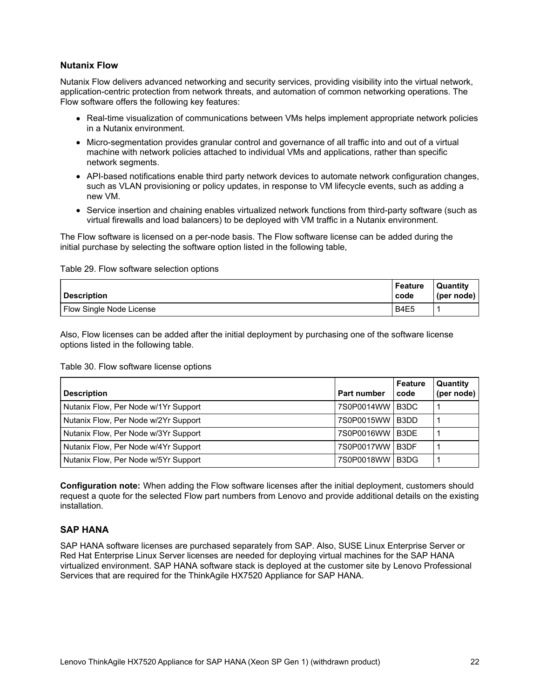## <span id="page-21-0"></span>**Nutanix Flow**

Nutanix Flow delivers advanced networking and security services, providing visibility into the virtual network, application-centric protection from network threats, and automation of common networking operations. The Flow software offers the following key features:

- Real-time visualization of communications between VMs helps implement appropriate network policies in a Nutanix environment.
- Micro-segmentation provides granular control and governance of all traffic into and out of a virtual machine with network policies attached to individual VMs and applications, rather than specific network segments.
- API-based notifications enable third party network devices to automate network configuration changes, such as VLAN provisioning or policy updates, in response to VM lifecycle events, such as adding a new VM.
- Service insertion and chaining enables virtualized network functions from third-party software (such as virtual firewalls and load balancers) to be deployed with VM traffic in a Nutanix environment.

The Flow software is licensed on a per-node basis. The Flow software license can be added during the initial purchase by selecting the software option listed in the following table,

#### Table 29. Flow software selection options

| <b>Description</b>       | <b>Feature</b><br>code        | <b>Quantity</b><br>(per node) |
|--------------------------|-------------------------------|-------------------------------|
| Flow Single Node License | B <sub>4</sub> E <sub>5</sub> |                               |

Also, Flow licenses can be added after the initial deployment by purchasing one of the software license options listed in the following table.

#### Table 30. Flow software license options

| <b>Description</b>                   | <b>Part number</b> | Feature<br>code | Quantity<br>(per node) |
|--------------------------------------|--------------------|-----------------|------------------------|
| Nutanix Flow, Per Node w/1Yr Support | 7S0P0014WW B3DC    |                 |                        |
| Nutanix Flow, Per Node w/2Yr Support | 7S0P0015WW B3DD    |                 |                        |
| Nutanix Flow, Per Node w/3Yr Support | 7S0P0016WW B3DE    |                 |                        |
| Nutanix Flow, Per Node w/4Yr Support | 7S0P0017WW B3DF    |                 |                        |
| Nutanix Flow, Per Node w/5Yr Support | 7S0P0018WW         | B3DG            |                        |

**Configuration note:** When adding the Flow software licenses after the initial deployment, customers should request a quote for the selected Flow part numbers from Lenovo and provide additional details on the existing installation.

## <span id="page-21-1"></span>**SAP HANA**

SAP HANA software licenses are purchased separately from SAP. Also, SUSE Linux Enterprise Server or Red Hat Enterprise Linux Server licenses are needed for deploying virtual machines for the SAP HANA virtualized environment. SAP HANA software stack is deployed at the customer site by Lenovo Professional Services that are required for the ThinkAgile HX7520 Appliance for SAP HANA.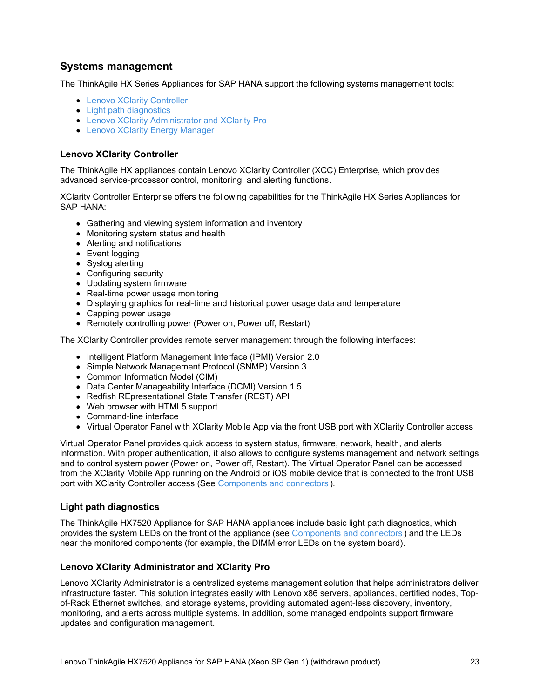# **Systems management**

The ThinkAgile HX Series Appliances for SAP HANA support the following systems management tools:

- Lenovo XClarity [Controller](#page-22-0)
- Light path [diagnostics](#page-22-1)
- Lenovo XClarity [Administrator](#page-22-2) and XClarity Pro
- Lenovo XClarity Energy [Manager](#page-24-0)

## <span id="page-22-0"></span>**Lenovo XClarity Controller**

The ThinkAgile HX appliances contain Lenovo XClarity Controller (XCC) Enterprise, which provides advanced service-processor control, monitoring, and alerting functions.

XClarity Controller Enterprise offers the following capabilities for the ThinkAgile HX Series Appliances for SAP HANA:

- Gathering and viewing system information and inventory
- Monitoring system status and health
- Alerting and notifications
- Event logging
- Syslog alerting
- Configuring security
- Updating system firmware
- Real-time power usage monitoring
- Displaying graphics for real-time and historical power usage data and temperature
- Capping power usage
- Remotely controlling power (Power on, Power off, Restart)

The XClarity Controller provides remote server management through the following interfaces:

- Intelligent Platform Management Interface (IPMI) Version 2.0
- Simple Network Management Protocol (SNMP) Version 3
- Common Information Model (CIM)
- Data Center Manageability Interface (DCMI) Version 1.5
- Redfish REpresentational State Transfer (REST) API
- Web browser with HTML5 support
- Command-line interface
- Virtual Operator Panel with XClarity Mobile App via the front USB port with XClarity Controller access

Virtual Operator Panel provides quick access to system status, firmware, network, health, and alerts information. With proper authentication, it also allows to configure systems management and network settings and to control system power (Power on, Power off, Restart). The Virtual Operator Panel can be accessed from the XClarity Mobile App running on the Android or iOS mobile device that is connected to the front USB port with XClarity Controller access (See [Components](#page-2-0) and connectors ).

## <span id="page-22-1"></span>**Light path diagnostics**

The ThinkAgile HX7520 Appliance for SAP HANA appliances include basic light path diagnostics, which provides the system LEDs on the front of the appliance (see [Components](#page-2-0) and connectors ) and the LEDs near the monitored components (for example, the DIMM error LEDs on the system board).

## <span id="page-22-2"></span>**Lenovo XClarity Administrator and XClarity Pro**

Lenovo XClarity Administrator is a centralized systems management solution that helps administrators deliver infrastructure faster. This solution integrates easily with Lenovo x86 servers, appliances, certified nodes, Topof-Rack Ethernet switches, and storage systems, providing automated agent-less discovery, inventory, monitoring, and alerts across multiple systems. In addition, some managed endpoints support firmware updates and configuration management.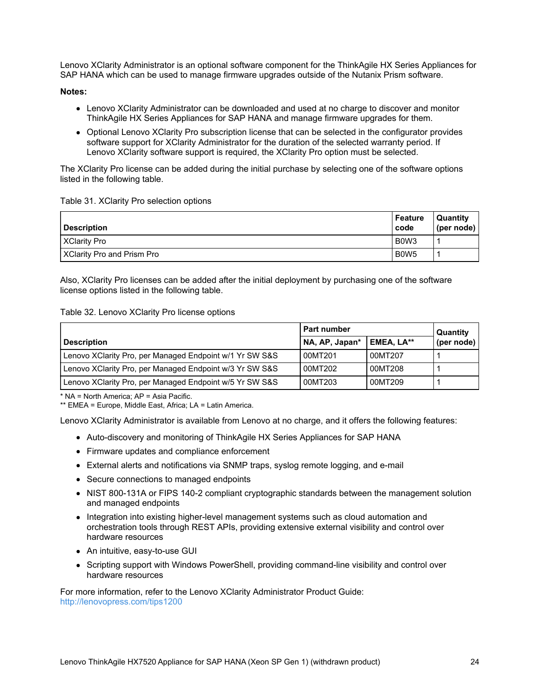Lenovo XClarity Administrator is an optional software component for the ThinkAgile HX Series Appliances for SAP HANA which can be used to manage firmware upgrades outside of the Nutanix Prism software.

#### **Notes:**

- Lenovo XClarity Administrator can be downloaded and used at no charge to discover and monitor ThinkAgile HX Series Appliances for SAP HANA and manage firmware upgrades for them.
- Optional Lenovo XClarity Pro subscription license that can be selected in the configurator provides software support for XClarity Administrator for the duration of the selected warranty period. If Lenovo XClarity software support is required, the XClarity Pro option must be selected.

The XClarity Pro license can be added during the initial purchase by selecting one of the software options listed in the following table.

#### Table 31. XClarity Pro selection options

| <b>Description</b>                | Feature<br>code               | <b>Quantity</b><br>(per node) |
|-----------------------------------|-------------------------------|-------------------------------|
| <b>XClarity Pro</b>               | B <sub>0</sub> W <sub>3</sub> |                               |
| <b>XClarity Pro and Prism Pro</b> | B <sub>0</sub> W <sub>5</sub> |                               |

Also, XClarity Pro licenses can be added after the initial deployment by purchasing one of the software license options listed in the following table.

#### Table 32. Lenovo XClarity Pro license options

|                                                         | <b>Part number</b> |            | Quantity   |
|---------------------------------------------------------|--------------------|------------|------------|
| <b>Description</b>                                      | NA, AP, Japan*     | EMEA. LA** | (per node) |
| Lenovo XClarity Pro, per Managed Endpoint w/1 Yr SW S&S | 00MT201            | 00MT207    |            |
| Lenovo XClarity Pro, per Managed Endpoint w/3 Yr SW S&S | 00MT202            | 00MT208    |            |
| Lenovo XClarity Pro, per Managed Endpoint w/5 Yr SW S&S | 00MT203            | 00MT209    |            |

\* NA = North America; AP = Asia Pacific.

\*\* EMEA = Europe, Middle East, Africa; LA = Latin America.

Lenovo XClarity Administrator is available from Lenovo at no charge, and it offers the following features:

- Auto-discovery and monitoring of ThinkAgile HX Series Appliances for SAP HANA
- Firmware updates and compliance enforcement
- External alerts and notifications via SNMP traps, syslog remote logging, and e-mail
- Secure connections to managed endpoints
- NIST 800-131A or FIPS 140-2 compliant cryptographic standards between the management solution and managed endpoints
- Integration into existing higher-level management systems such as cloud automation and orchestration tools through REST APIs, providing extensive external visibility and control over hardware resources
- An intuitive, easy-to-use GUI
- Scripting support with Windows PowerShell, providing command-line visibility and control over hardware resources

For more information, refer to the Lenovo XClarity Administrator Product Guide: <http://lenovopress.com/tips1200>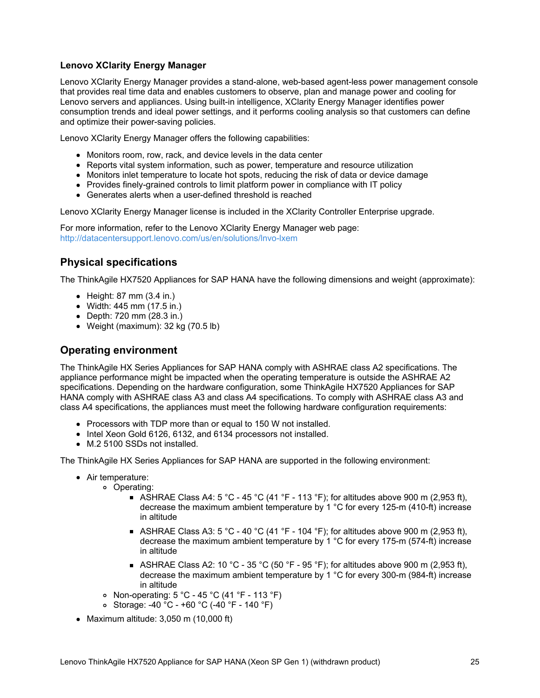## <span id="page-24-0"></span>**Lenovo XClarity Energy Manager**

Lenovo XClarity Energy Manager provides a stand-alone, web-based agent-less power management console that provides real time data and enables customers to observe, plan and manage power and cooling for Lenovo servers and appliances. Using built-in intelligence, XClarity Energy Manager identifies power consumption trends and ideal power settings, and it performs cooling analysis so that customers can define and optimize their power-saving policies.

Lenovo XClarity Energy Manager offers the following capabilities:

- Monitors room, row, rack, and device levels in the data center
- Reports vital system information, such as power, temperature and resource utilization
- Monitors inlet temperature to locate hot spots, reducing the risk of data or device damage
- Provides finely-grained controls to limit platform power in compliance with IT policy
- Generates alerts when a user-defined threshold is reached

Lenovo XClarity Energy Manager license is included in the XClarity Controller Enterprise upgrade.

For more information, refer to the Lenovo XClarity Energy Manager web page: <http://datacentersupport.lenovo.com/us/en/solutions/lnvo-lxem>

# **Physical specifications**

The ThinkAgile HX7520 Appliances for SAP HANA have the following dimensions and weight (approximate):

- $\bullet$  Height: 87 mm (3.4 in.)
- Width: 445 mm (17.5 in.)
- Depth: 720 mm (28.3 in.)
- Weight (maximum): 32 kg (70.5 lb)

## **Operating environment**

The ThinkAgile HX Series Appliances for SAP HANA comply with ASHRAE class A2 specifications. The appliance performance might be impacted when the operating temperature is outside the ASHRAE A2 specifications. Depending on the hardware configuration, some ThinkAgile HX7520 Appliances for SAP HANA comply with ASHRAE class A3 and class A4 specifications. To comply with ASHRAE class A3 and class A4 specifications, the appliances must meet the following hardware configuration requirements:

- Processors with TDP more than or equal to 150 W not installed.
- Intel Xeon Gold 6126, 6132, and 6134 processors not installed.
- M.2 5100 SSDs not installed.

The ThinkAgile HX Series Appliances for SAP HANA are supported in the following environment:

- Air temperature:
	- Operating:
		- ASHRAE Class A4: 5 °C 45 °C (41 °F 113 °F); for altitudes above 900 m (2,953 ft), decrease the maximum ambient temperature by 1 °C for every 125-m (410-ft) increase in altitude
		- ASHRAE Class A3: 5 °C 40 °C (41 °F 104 °F); for altitudes above 900 m (2,953 ft), decrease the maximum ambient temperature by 1 °C for every 175-m (574-ft) increase in altitude
		- ASHRAE Class A2: 10 °C 35 °C (50 °F 95 °F); for altitudes above 900 m (2,953 ft), decrease the maximum ambient temperature by 1 °C for every 300-m (984-ft) increase in altitude
	- Non-operating:  $5 \degree C$  45  $\degree C$  (41  $\degree F$  113  $\degree F$ )
	- Storage: -40 °C +60 °C (-40 °F 140 °F)
- $\bullet$  Maximum altitude: 3,050 m (10,000 ft)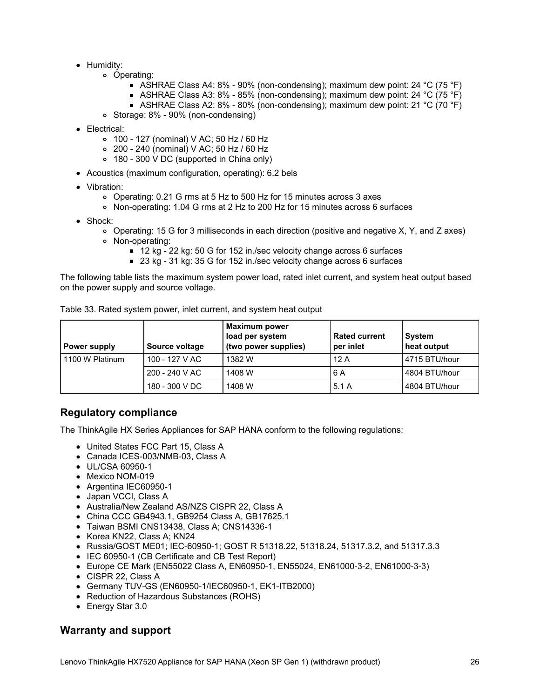- Humidity:
	- Operating:
		- ASHRAE Class A4: 8% 90% (non-condensing); maximum dew point: 24 °C (75 °F)
		- ASHRAE Class A3: 8% 85% (non-condensing); maximum dew point: 24 °C (75 °F)
		- ASHRAE Class A2: 8% 80% (non-condensing); maximum dew point: 21 °C (70 °F)
	- Storage: 8% 90% (non-condensing)
- Electrical:
	- 100 127 (nominal) V AC; 50 Hz / 60 Hz
	- 200 240 (nominal) V AC; 50 Hz / 60 Hz
	- 180 300 V DC (supported in China only)
- Acoustics (maximum configuration, operating): 6.2 bels
- Vibration:
	- Operating: 0.21 G rms at 5 Hz to 500 Hz for 15 minutes across 3 axes
	- Non-operating: 1.04 G rms at 2 Hz to 200 Hz for 15 minutes across 6 surfaces
- Shock:
	- Operating: 15 G for 3 milliseconds in each direction (positive and negative X, Y, and Z axes)
	- Non-operating:
		- 12 kg 22 kg: 50 G for 152 in./sec velocity change across 6 surfaces
		- 23 kg 31 kg: 35 G for 152 in./sec velocity change across 6 surfaces

The following table lists the maximum system power load, rated inlet current, and system heat output based on the power supply and source voltage.

| Power supply    | Source voltage | <b>Maximum power</b><br>load per system<br>(two power supplies) | <b>Rated current</b><br>per inlet | System<br>heat output |
|-----------------|----------------|-----------------------------------------------------------------|-----------------------------------|-----------------------|
| 1100 W Platinum | 100 - 127 V AC | 1382 W                                                          | 12A                               | 4715 BTU/hour         |
|                 | 200 - 240 V AC | 1408 W                                                          | 6 A                               | 4804 BTU/hour         |
|                 | 180 - 300 V DC | 1408 W                                                          | 5.1A                              | 4804 BTU/hour         |

Table 33. Rated system power, inlet current, and system heat output

# **Regulatory compliance**

The ThinkAgile HX Series Appliances for SAP HANA conform to the following regulations:

- United States FCC Part 15, Class A
- Canada ICES-003/NMB-03, Class A
- UL/CSA 60950-1
- Mexico NOM-019
- Argentina IEC60950-1
- Japan VCCI, Class A
- Australia/New Zealand AS/NZS CISPR 22, Class A
- China CCC GB4943.1, GB9254 Class A, GB17625.1
- Taiwan BSMI CNS13438, Class A; CNS14336-1
- Korea KN22, Class A; KN24
- Russia/GOST ME01; IEC-60950-1; GOST R 51318.22, 51318.24, 51317.3.2, and 51317.3.3
- IEC 60950-1 (CB Certificate and CB Test Report)
- Europe CE Mark (EN55022 Class A, EN60950-1, EN55024, EN61000-3-2, EN61000-3-3)
- CISPR 22, Class A
- Germany TUV-GS (EN60950-1/IEC60950-1, EK1-ITB2000)
- Reduction of Hazardous Substances (ROHS)
- Energy Star 3.0

# **Warranty and support**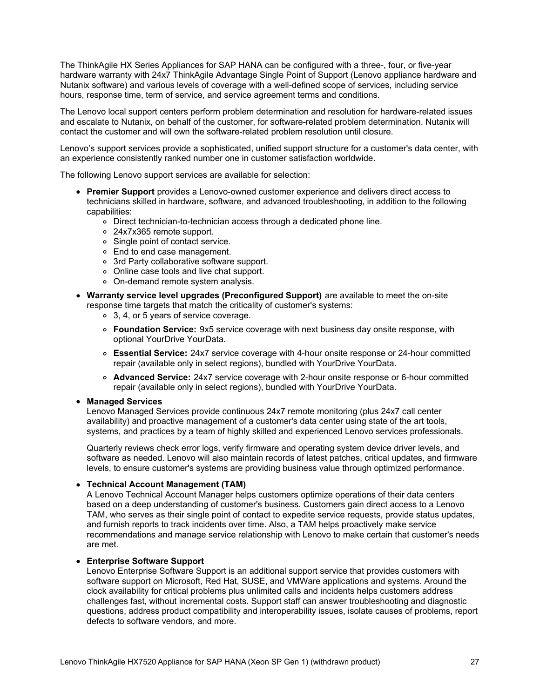The ThinkAgile HX Series Appliances for SAP HANA can be configured with a three-, four, or five-year hardware warranty with 24x7 ThinkAgile Advantage Single Point of Support (Lenovo appliance hardware and Nutanix software) and various levels of coverage with a well-defined scope of services, including service hours, response time, term of service, and service agreement terms and conditions.

The Lenovo local support centers perform problem determination and resolution for hardware-related issues and escalate to Nutanix, on behalf of the customer, for software-related problem determination. Nutanix will contact the customer and will own the software-related problem resolution until closure.

Lenovo's support services provide a sophisticated, unified support structure for a customer's data center, with an experience consistently ranked number one in customer satisfaction worldwide.

The following Lenovo support services are available for selection:

- **Premier Support** provides a Lenovo-owned customer experience and delivers direct access to technicians skilled in hardware, software, and advanced troubleshooting, in addition to the following capabilities:
	- Direct technician-to-technician access through a dedicated phone line.
	- 24x7x365 remote support.
	- Single point of contact service.
	- End to end case management.
	- 3rd Party collaborative software support.
	- Online case tools and live chat support.
	- On-demand remote system analysis.
- **Warranty service level upgrades (Preconfigured Support)** are available to meet the on-site response time targets that match the criticality of customer's systems:
	- 3, 4, or 5 years of service coverage.
	- **Foundation Service:** 9x5 service coverage with next business day onsite response, with optional YourDrive YourData.
	- **Essential Service:** 24x7 service coverage with 4-hour onsite response or 24-hour committed repair (available only in select regions), bundled with YourDrive YourData.
	- **Advanced Service:** 24x7 service coverage with 2-hour onsite response or 6-hour committed repair (available only in select regions), bundled with YourDrive YourData.

#### **Managed Services**

Lenovo Managed Services provide continuous 24x7 remote monitoring (plus 24x7 call center availability) and proactive management of a customer's data center using state of the art tools, systems, and practices by a team of highly skilled and experienced Lenovo services professionals.

Quarterly reviews check error logs, verify firmware and operating system device driver levels, and software as needed. Lenovo will also maintain records of latest patches, critical updates, and firmware levels, to ensure customer's systems are providing business value through optimized performance.

#### **Technical Account Management (TAM)**

A Lenovo Technical Account Manager helps customers optimize operations of their data centers based on a deep understanding of customer's business. Customers gain direct access to a Lenovo TAM, who serves as their single point of contact to expedite service requests, provide status updates, and furnish reports to track incidents over time. Also, a TAM helps proactively make service recommendations and manage service relationship with Lenovo to make certain that customer's needs are met.

#### **Enterprise Software Support**

Lenovo Enterprise Software Support is an additional support service that provides customers with software support on Microsoft, Red Hat, SUSE, and VMWare applications and systems. Around the clock availability for critical problems plus unlimited calls and incidents helps customers address challenges fast, without incremental costs. Support staff can answer troubleshooting and diagnostic questions, address product compatibility and interoperability issues, isolate causes of problems, report defects to software vendors, and more.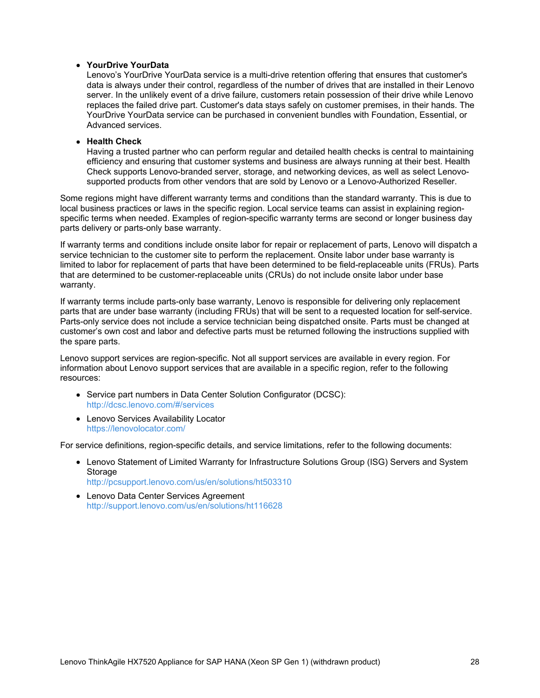#### **YourDrive YourData**

Lenovo's YourDrive YourData service is a multi-drive retention offering that ensures that customer's data is always under their control, regardless of the number of drives that are installed in their Lenovo server. In the unlikely event of a drive failure, customers retain possession of their drive while Lenovo replaces the failed drive part. Customer's data stays safely on customer premises, in their hands. The YourDrive YourData service can be purchased in convenient bundles with Foundation, Essential, or Advanced services.

#### **Health Check**

Having a trusted partner who can perform regular and detailed health checks is central to maintaining efficiency and ensuring that customer systems and business are always running at their best. Health Check supports Lenovo-branded server, storage, and networking devices, as well as select Lenovosupported products from other vendors that are sold by Lenovo or a Lenovo-Authorized Reseller.

Some regions might have different warranty terms and conditions than the standard warranty. This is due to local business practices or laws in the specific region. Local service teams can assist in explaining regionspecific terms when needed. Examples of region-specific warranty terms are second or longer business day parts delivery or parts-only base warranty.

If warranty terms and conditions include onsite labor for repair or replacement of parts, Lenovo will dispatch a service technician to the customer site to perform the replacement. Onsite labor under base warranty is limited to labor for replacement of parts that have been determined to be field-replaceable units (FRUs). Parts that are determined to be customer-replaceable units (CRUs) do not include onsite labor under base warranty.

If warranty terms include parts-only base warranty, Lenovo is responsible for delivering only replacement parts that are under base warranty (including FRUs) that will be sent to a requested location for self-service. Parts-only service does not include a service technician being dispatched onsite. Parts must be changed at customer's own cost and labor and defective parts must be returned following the instructions supplied with the spare parts.

Lenovo support services are region-specific. Not all support services are available in every region. For information about Lenovo support services that are available in a specific region, refer to the following resources:

- Service part numbers in Data Center Solution Configurator (DCSC): <http://dcsc.lenovo.com/#/services>
- Lenovo Services Availability Locator <https://lenovolocator.com/>

For service definitions, region-specific details, and service limitations, refer to the following documents:

- Lenovo Statement of Limited Warranty for Infrastructure Solutions Group (ISG) Servers and System Storage <http://pcsupport.lenovo.com/us/en/solutions/ht503310>
- Lenovo Data Center Services Agreement <http://support.lenovo.com/us/en/solutions/ht116628>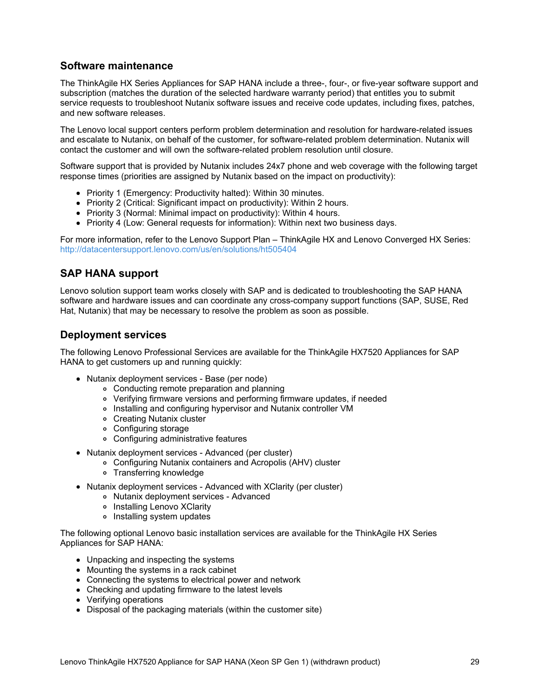# **Software maintenance**

The ThinkAgile HX Series Appliances for SAP HANA include a three-, four-, or five-year software support and subscription (matches the duration of the selected hardware warranty period) that entitles you to submit service requests to troubleshoot Nutanix software issues and receive code updates, including fixes, patches, and new software releases.

The Lenovo local support centers perform problem determination and resolution for hardware-related issues and escalate to Nutanix, on behalf of the customer, for software-related problem determination. Nutanix will contact the customer and will own the software-related problem resolution until closure.

Software support that is provided by Nutanix includes 24x7 phone and web coverage with the following target response times (priorities are assigned by Nutanix based on the impact on productivity):

- Priority 1 (Emergency: Productivity halted): Within 30 minutes.
- Priority 2 (Critical: Significant impact on productivity): Within 2 hours.
- Priority 3 (Normal: Minimal impact on productivity): Within 4 hours.
- Priority 4 (Low: General requests for information): Within next two business days.

For more information, refer to the Lenovo Support Plan – ThinkAgile HX and Lenovo Converged HX Series: <http://datacentersupport.lenovo.com/us/en/solutions/ht505404>

# **SAP HANA support**

Lenovo solution support team works closely with SAP and is dedicated to troubleshooting the SAP HANA software and hardware issues and can coordinate any cross-company support functions (SAP, SUSE, Red Hat, Nutanix) that may be necessary to resolve the problem as soon as possible.

# **Deployment services**

The following Lenovo Professional Services are available for the ThinkAgile HX7520 Appliances for SAP HANA to get customers up and running quickly:

- Nutanix deployment services Base (per node)
	- Conducting remote preparation and planning
	- Verifying firmware versions and performing firmware updates, if needed
	- Installing and configuring hypervisor and Nutanix controller VM
	- Creating Nutanix cluster
	- Configuring storage
	- Configuring administrative features
- Nutanix deployment services Advanced (per cluster)
	- Configuring Nutanix containers and Acropolis (AHV) cluster
	- Transferring knowledge
- Nutanix deployment services Advanced with XClarity (per cluster)
	- Nutanix deployment services Advanced
	- o Installing Lenovo XClarity
	- o Installing system updates

The following optional Lenovo basic installation services are available for the ThinkAgile HX Series Appliances for SAP HANA:

- Unpacking and inspecting the systems
- Mounting the systems in a rack cabinet
- Connecting the systems to electrical power and network
- Checking and updating firmware to the latest levels
- Verifying operations
- Disposal of the packaging materials (within the customer site)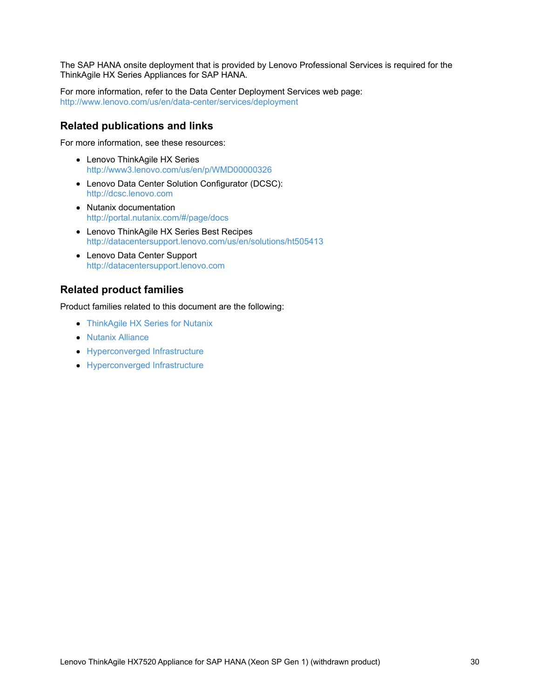The SAP HANA onsite deployment that is provided by Lenovo Professional Services is required for the ThinkAgile HX Series Appliances for SAP HANA.

For more information, refer to the Data Center Deployment Services web page: <http://www.lenovo.com/us/en/data-center/services/deployment>

## **Related publications and links**

For more information, see these resources:

- Lenovo ThinkAgile HX Series <http://www3.lenovo.com/us/en/p/WMD00000326>
- Lenovo Data Center Solution Configurator (DCSC): <http://dcsc.lenovo.com>
- Nutanix documentation <http://portal.nutanix.com/#/page/docs>
- Lenovo ThinkAgile HX Series Best Recipes <http://datacentersupport.lenovo.com/us/en/solutions/ht505413>
- Lenovo Data Center Support <http://datacentersupport.lenovo.com>

# **Related product families**

Product families related to this document are the following:

- [ThinkAgile](https://lenovopress.com/servers/thinkagile/hx-series) HX Series for Nutanix
- Nutanix [Alliance](https://lenovopress.com/software/alliances/nutanix)
- [Hyperconverged](https://lenovopress.com/software/hyperconverged) Infrastructure
- [Hyperconverged](https://lenovopress.com/servers/hyperconverged) Infrastructure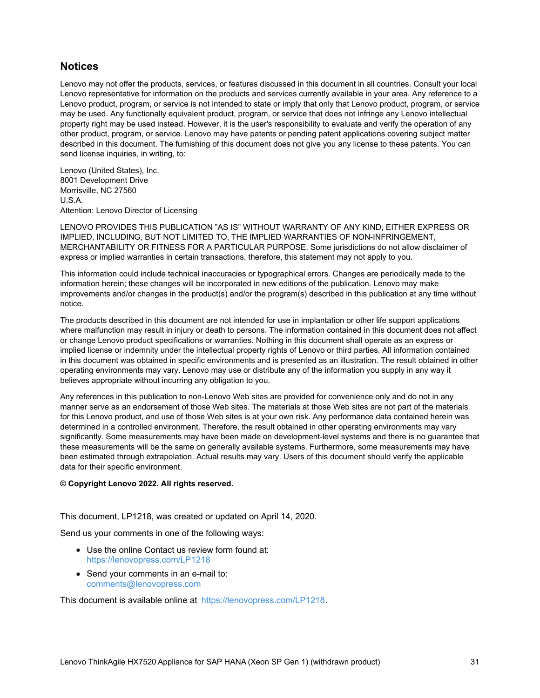# **Notices**

Lenovo may not offer the products, services, or features discussed in this document in all countries. Consult your local Lenovo representative for information on the products and services currently available in your area. Any reference to a Lenovo product, program, or service is not intended to state or imply that only that Lenovo product, program, or service may be used. Any functionally equivalent product, program, or service that does not infringe any Lenovo intellectual property right may be used instead. However, it is the user's responsibility to evaluate and verify the operation of any other product, program, or service. Lenovo may have patents or pending patent applications covering subject matter described in this document. The furnishing of this document does not give you any license to these patents. You can send license inquiries, in writing, to:

Lenovo (United States), Inc. 8001 Development Drive Morrisville, NC 27560 U.S.A. Attention: Lenovo Director of Licensing

LENOVO PROVIDES THIS PUBLICATION "AS IS" WITHOUT WARRANTY OF ANY KIND, EITHER EXPRESS OR IMPLIED, INCLUDING, BUT NOT LIMITED TO, THE IMPLIED WARRANTIES OF NON-INFRINGEMENT, MERCHANTABILITY OR FITNESS FOR A PARTICULAR PURPOSE. Some jurisdictions do not allow disclaimer of express or implied warranties in certain transactions, therefore, this statement may not apply to you.

This information could include technical inaccuracies or typographical errors. Changes are periodically made to the information herein; these changes will be incorporated in new editions of the publication. Lenovo may make improvements and/or changes in the product(s) and/or the program(s) described in this publication at any time without notice.

The products described in this document are not intended for use in implantation or other life support applications where malfunction may result in injury or death to persons. The information contained in this document does not affect or change Lenovo product specifications or warranties. Nothing in this document shall operate as an express or implied license or indemnity under the intellectual property rights of Lenovo or third parties. All information contained in this document was obtained in specific environments and is presented as an illustration. The result obtained in other operating environments may vary. Lenovo may use or distribute any of the information you supply in any way it believes appropriate without incurring any obligation to you.

Any references in this publication to non-Lenovo Web sites are provided for convenience only and do not in any manner serve as an endorsement of those Web sites. The materials at those Web sites are not part of the materials for this Lenovo product, and use of those Web sites is at your own risk. Any performance data contained herein was determined in a controlled environment. Therefore, the result obtained in other operating environments may vary significantly. Some measurements may have been made on development-level systems and there is no guarantee that these measurements will be the same on generally available systems. Furthermore, some measurements may have been estimated through extrapolation. Actual results may vary. Users of this document should verify the applicable data for their specific environment.

#### **© Copyright Lenovo 2022. All rights reserved.**

This document, LP1218, was created or updated on April 14, 2020.

Send us your comments in one of the following ways:

- Use the online Contact us review form found at: <https://lenovopress.com/LP1218>
- Send your comments in an e-mail to: [comments@lenovopress.com](mailto:comments@lenovopress.com?subject=Feedback for LP1218)

This document is available online at <https://lenovopress.com/LP1218>.